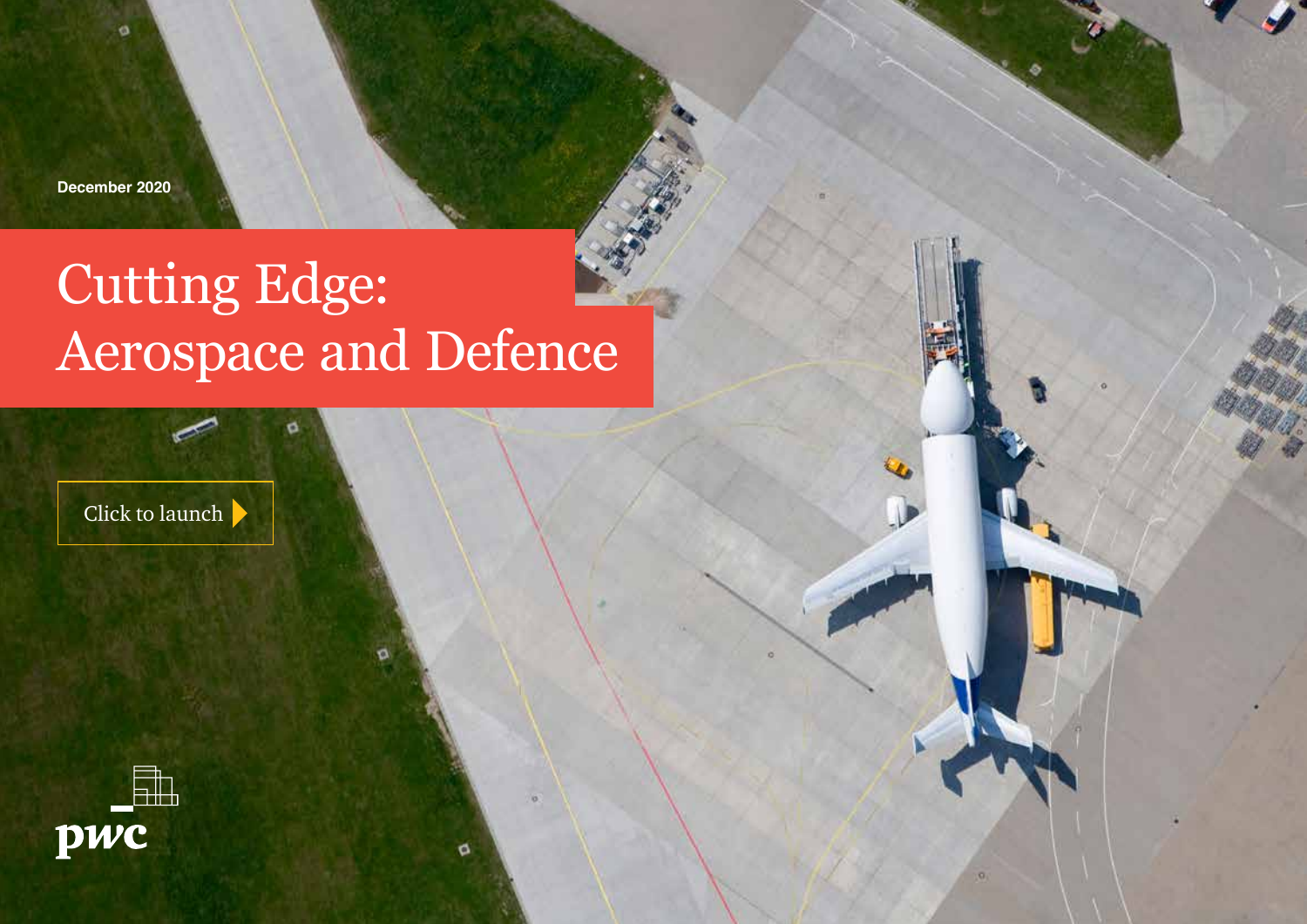**December 2020**

ö

# Cutting Edge: Aerospace and Defence

ø

Click to launch

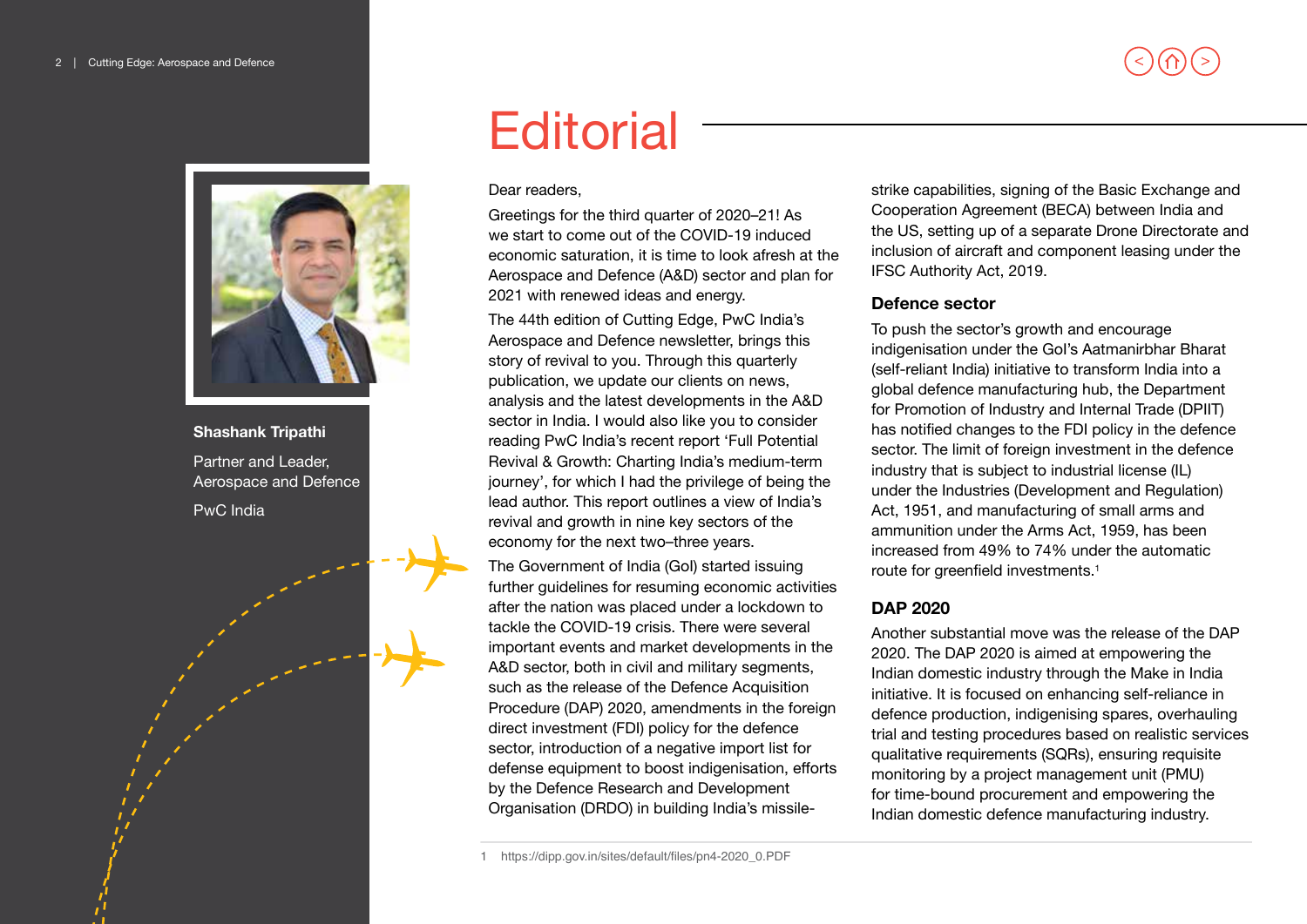

### **Shashank Tripathi** Partner and Leader, Aerospace and Defence PwC India

# **Editorial**

#### Dear readers,

Greetings for the third quarter of 2020–21! As we start to come out of the COVID-19 induced economic saturation, it is time to look afresh at the Aerospace and Defence (A&D) sector and plan for 2021 with renewed ideas and energy.

The 44th edition of Cutting Edge, PwC India's Aerospace and Defence newsletter, brings this story of revival to you. Through this quarterly publication, we update our clients on news, analysis and the latest developments in the A&D sector in India. I would also like you to consider reading PwC India's recent report 'Full Potential Revival & Growth: Charting India's medium-term journey', for which I had the privilege of being the lead author. This report outlines a view of India's revival and growth in nine key sectors of the economy for the next two–three years.

The Government of India (GoI) started issuing further guidelines for resuming economic activities after the nation was placed under a lockdown to tackle the COVID-19 crisis. There were several important events and market developments in the A&D sector, both in civil and military segments, such as the release of the Defence Acquisition Procedure (DAP) 2020, amendments in the foreign direct investment (FDI) policy for the defence sector, introduction of a negative import list for defense equipment to boost indigenisation, efforts by the Defence Research and Development Organisation (DRDO) in building India's missile-

1 https://dipp.gov.in/sites/default/files/pn4-2020\_0.PDF

strike capabilities, signing of the Basic Exchange and Cooperation Agreement (BECA) between India and the US, setting up of a separate Drone Directorate and inclusion of aircraft and component leasing under the IFSC Authority Act, 2019.

#### **Defence sector**

To push the sector's growth and encourage indigenisation under the GoI's Aatmanirbhar Bharat (self-reliant India) initiative to transform India into a global defence manufacturing hub, the Department for Promotion of Industry and Internal Trade (DPIIT) has notified changes to the FDI policy in the defence sector. The limit of foreign investment in the defence industry that is subject to industrial license (IL) under the Industries (Development and Regulation) Act, 1951, and manufacturing of small arms and ammunition under the Arms Act, 1959, has been increased from 49% to 74% under the automatic route for greenfield investments.<sup>1</sup>

### **DAP 2020**

Another substantial move was the release of the DAP 2020. The DAP 2020 is aimed at empowering the Indian domestic industry through the Make in India initiative. It is focused on enhancing self-reliance in defence production, indigenising spares, overhauling trial and testing procedures based on realistic services qualitative requirements (SQRs), ensuring requisite monitoring by a project management unit (PMU) for time-bound procurement and empowering the Indian domestic defence manufacturing industry.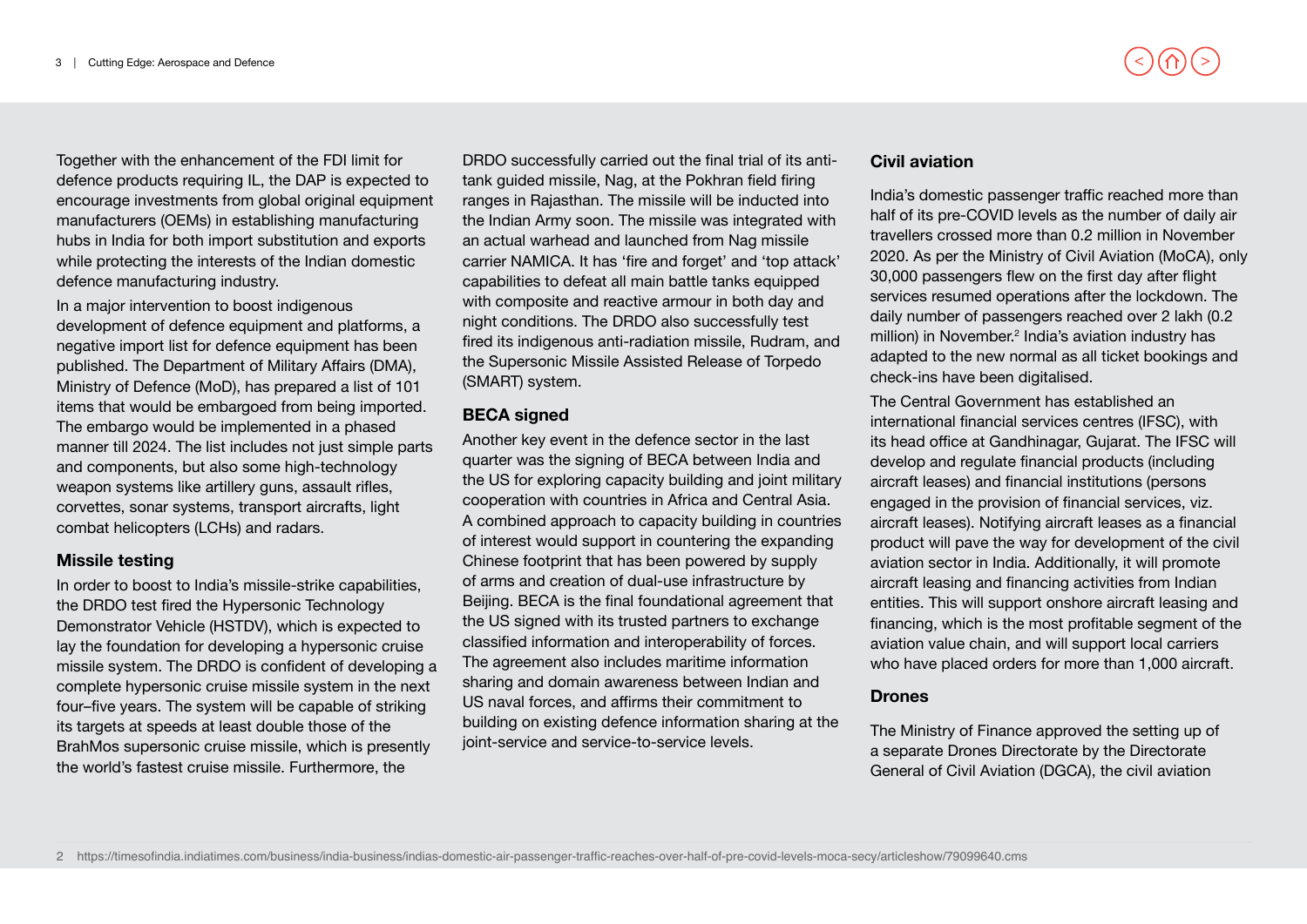Together with the enhancement of the FDI limit for defence products requiring IL, the DAP is expected to encourage investments from global original equipment manufacturers (OEMs) in establishing manufacturing hubs in India for both import substitution and exports while protecting the interests of the Indian domestic defence manufacturing industry.

In a major intervention to boost indigenous development of defence equipment and platforms, a negative import list for defence equipment has been published. The Department of Military Affairs (DMA), Ministry of Defence (MoD), has prepared a list of 101 items that would be embargoed from being imported. The embargo would be implemented in a phased manner till 2024. The list includes not just simple parts and components, but also some high-technology weapon systems like artillery guns, assault rifles, corvettes, sonar systems, transport aircrafts, light combat helicopters (LCHs) and radars.

#### **Missile testing**

In order to boost to India's missile-strike capabilities, the DRDO test fired the Hypersonic Technology Demonstrator Vehicle (HSTDV), which is expected to lay the foundation for developing a hypersonic cruise missile system. The DRDO is confident of developing a complete hypersonic cruise missile system in the next four–five years. The system will be capable of striking its targets at speeds at least double those of the BrahMos supersonic cruise missile, which is presently the world's fastest cruise missile. Furthermore, the

DRDO successfully carried out the final trial of its antitank guided missile, Nag, at the Pokhran field firing ranges in Rajasthan. The missile will be inducted into the Indian Army soon. The missile was integrated with an actual warhead and launched from Nag missile carrier NAMICA. It has 'fire and forget' and 'top attack' capabilities to defeat all main battle tanks equipped with composite and reactive armour in both day and night conditions. The DRDO also successfully test fired its indigenous anti-radiation missile, Rudram, and the Supersonic Missile Assisted Release of Torpedo (SMART) system.

### **BECA signed**

Another key event in the defence sector in the last quarter was the signing of BECA between India and the US for exploring capacity building and joint military cooperation with countries in Africa and Central Asia. A combined approach to capacity building in countries of interest would support in countering the expanding Chinese footprint that has been powered by supply of arms and creation of dual-use infrastructure by Beijing. BECA is the final foundational agreement that the US signed with its trusted partners to exchange classified information and interoperability of forces. The agreement also includes maritime information sharing and domain awareness between Indian and US naval forces, and affirms their commitment to building on existing defence information sharing at the joint-service and service-to-service levels.

### **Civil aviation**

India's domestic passenger traffic reached more than half of its pre-COVID levels as the number of daily air travellers crossed more than 0.2 million in November 2020. As per the Ministry of Civil Aviation (MoCA), only 30,000 passengers flew on the first day after flight services resumed operations after the lockdown. The daily number of passengers reached over 2 lakh (0.2 million) in November.<sup>2</sup> India's aviation industry has adapted to the new normal as all ticket bookings and check-ins have been digitalised.

The Central Government has established an international financial services centres (IFSC), with its head office at Gandhinagar, Gujarat. The IFSC will develop and regulate financial products (including aircraft leases) and financial institutions (persons engaged in the provision of financial services, viz. aircraft leases). Notifying aircraft leases as a financial product will pave the way for development of the civil aviation sector in India. Additionally, it will promote aircraft leasing and financing activities from Indian entities. This will support onshore aircraft leasing and financing, which is the most profitable segment of the aviation value chain, and will support local carriers who have placed orders for more than 1,000 aircraft.

### **Drones**

The Ministry of Finance approved the setting up of a separate Drones Directorate by the Directorate General of Civil Aviation (DGCA), the civil aviation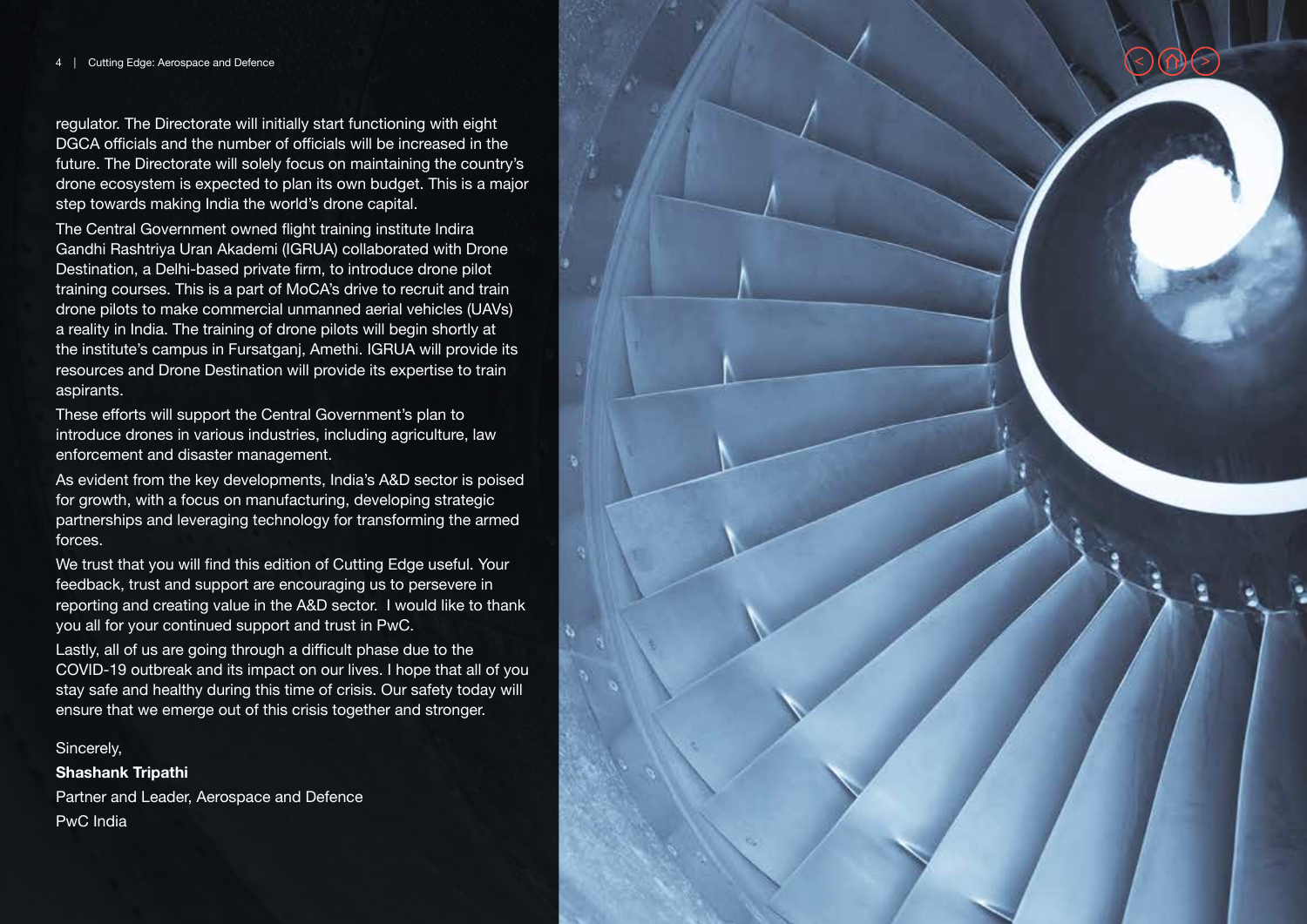regulator. The Directorate will initially start functioning with eight DGCA officials and the number of officials will be increased in the future. The Directorate will solely focus on maintaining the country's drone ecosystem is expected to plan its own budget. This is a major step towards making India the world's drone capital.

The Central Government owned flight training institute Indira Gandhi Rashtriya Uran Akademi (IGRUA) collaborated with Drone Destination, a Delhi-based private firm, to introduce drone pilot training courses. This is a part of MoCA's drive to recruit and train drone pilots to make commercial unmanned aerial vehicles (UAVs) a reality in India. The training of drone pilots will begin shortly at the institute's campus in Fursatganj, Amethi. IGRUA will provide its resources and Drone Destination will provide its expertise to train aspirants.

These efforts will support the Central Government's plan to introduce drones in various industries, including agriculture, law enforcement and disaster management.

As evident from the key developments, India's A&D sector is poised for growth, with a focus on manufacturing, developing strategic partnerships and leveraging technology for transforming the armed forces.

We trust that you will find this edition of Cutting Edge useful. Your feedback, trust and support are encouraging us to persevere in reporting and creating value in the A&D sector. I would like to thank you all for your continued support and trust in PwC.

Lastly, all of us are going through a difficult phase due to the COVID-19 outbreak and its impact on our lives. I hope that all of you stay safe and healthy during this time of crisis. Our safety today will ensure that we emerge out of this crisis together and stronger.

#### Sincerely,

**Shashank Tripathi** Partner and Leader, Aerospace and Defence

PwC India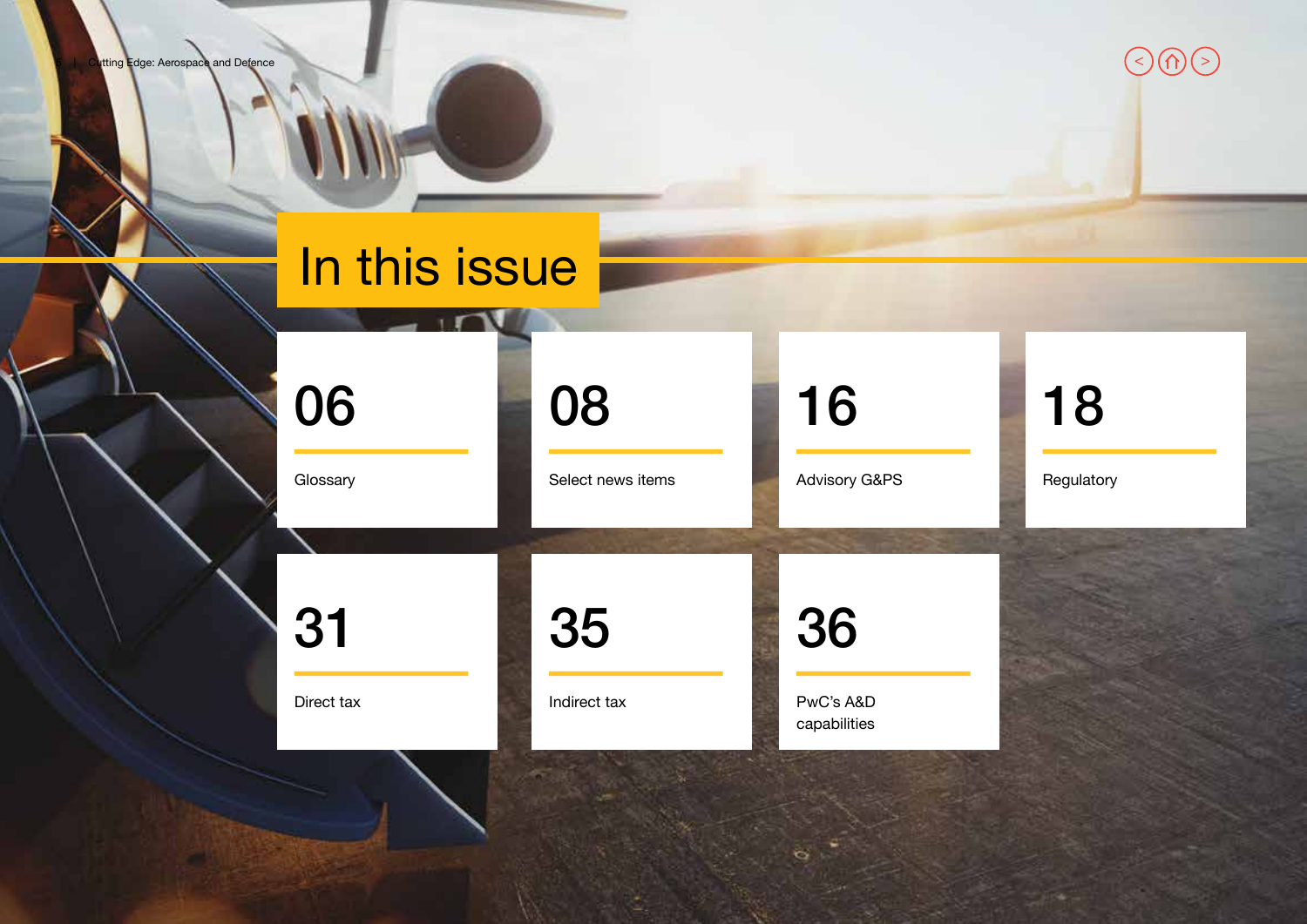tting Edge: Aerospace and Defence

# In this issue

**Glossary** 

[31](#page-30-0)

Direct tax

[06](#page-5-0)

[08](#page-7-0)

Select news items

Indirect tax

[35](#page-34-0)

[16](#page-15-0)

Advisory G&PS

# [18](#page-17-0)

Regulatory

 $\Im \Theta$ 

PwC's A&D capabilities

[36](#page-35-0)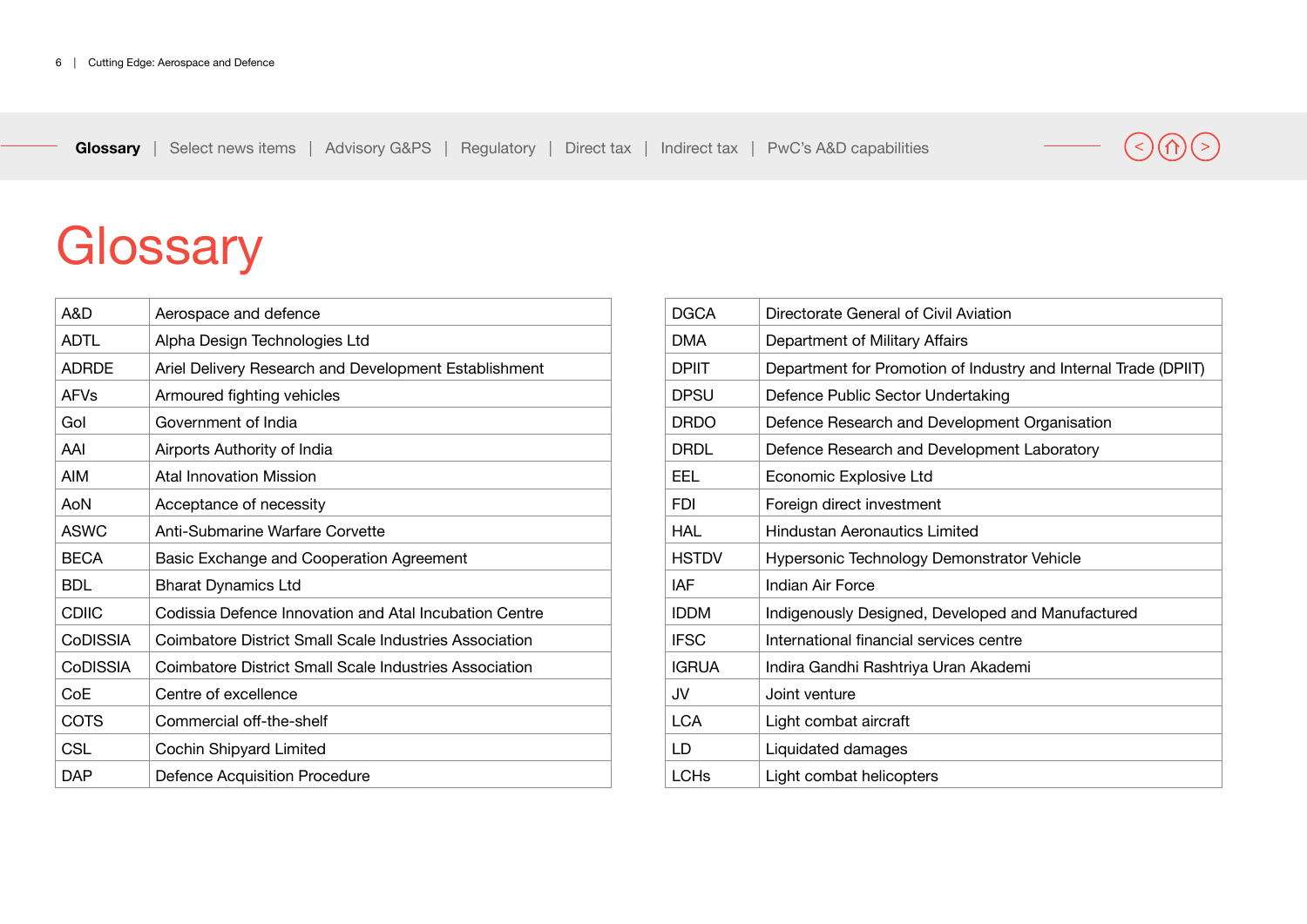# <span id="page-5-0"></span>**Glossary**

| A&D                    | Aerospace and defence                                         |
|------------------------|---------------------------------------------------------------|
| <b>ADTL</b>            | Alpha Design Technologies Ltd                                 |
| <b>ADRDE</b>           | Ariel Delivery Research and Development Establishment         |
| <b>AFV<sub>S</sub></b> | Armoured fighting vehicles                                    |
| Gol                    | Government of India                                           |
| AAI                    | Airports Authority of India                                   |
| <b>AIM</b>             | Atal Innovation Mission                                       |
| AoN                    | Acceptance of necessity                                       |
| <b>ASWC</b>            | Anti-Submarine Warfare Corvette                               |
| <b>BECA</b>            | Basic Exchange and Cooperation Agreement                      |
| <b>BDL</b>             | <b>Bharat Dynamics Ltd</b>                                    |
|                        |                                                               |
| <b>CDIIC</b>           | Codissia Defence Innovation and Atal Incubation Centre        |
| <b>CoDISSIA</b>        | Coimbatore District Small Scale Industries Association        |
| <b>CoDISSIA</b>        | <b>Coimbatore District Small Scale Industries Association</b> |
| CoE                    | Centre of excellence                                          |
| COTS                   | Commercial off-the-shelf                                      |
| CSL                    | Cochin Shipyard Limited                                       |

| <b>DGCA</b>  | Directorate General of Civil Aviation                           |
|--------------|-----------------------------------------------------------------|
| DMA          | Department of Military Affairs                                  |
| <b>DPIIT</b> | Department for Promotion of Industry and Internal Trade (DPIIT) |
| <b>DPSU</b>  | Defence Public Sector Undertaking                               |
| <b>DRDO</b>  | Defence Research and Development Organisation                   |
| DRDL         | Defence Research and Development Laboratory                     |
| EEL          | Economic Explosive Ltd                                          |
| FDI          | Foreign direct investment                                       |
| HAL          | <b>Hindustan Aeronautics Limited</b>                            |
| <b>HSTDV</b> | Hypersonic Technology Demonstrator Vehicle                      |
| IAF          | Indian Air Force                                                |
| <b>IDDM</b>  | Indigenously Designed, Developed and Manufactured               |
| <b>IFSC</b>  | International financial services centre                         |
| <b>IGRUA</b> | Indira Gandhi Rashtriya Uran Akademi                            |
| JV           | Joint venture                                                   |
| <b>LCA</b>   | Light combat aircraft                                           |
| LD.          | Liquidated damages                                              |
| <b>LCHs</b>  | Light combat helicopters                                        |

# $(\langle \rangle)(\cap) (\rangle)$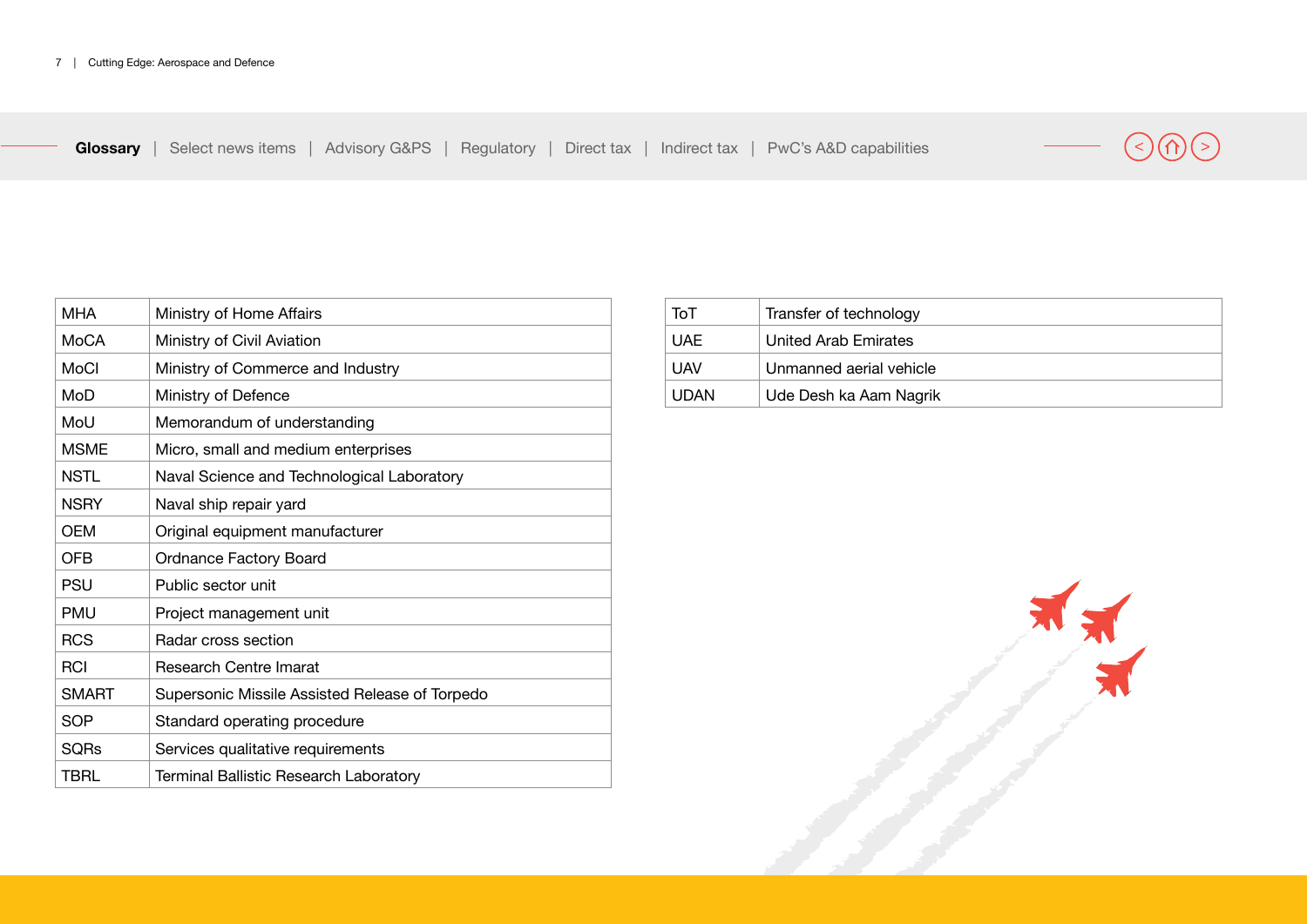

| ТоТ         | Transfer of technology  |
|-------------|-------------------------|
| <b>UAE</b>  | United Arab Emirates    |
| UAV         | Unmanned aerial vehicle |
| <b>UDAN</b> | Ude Desh ka Aam Nagrik  |

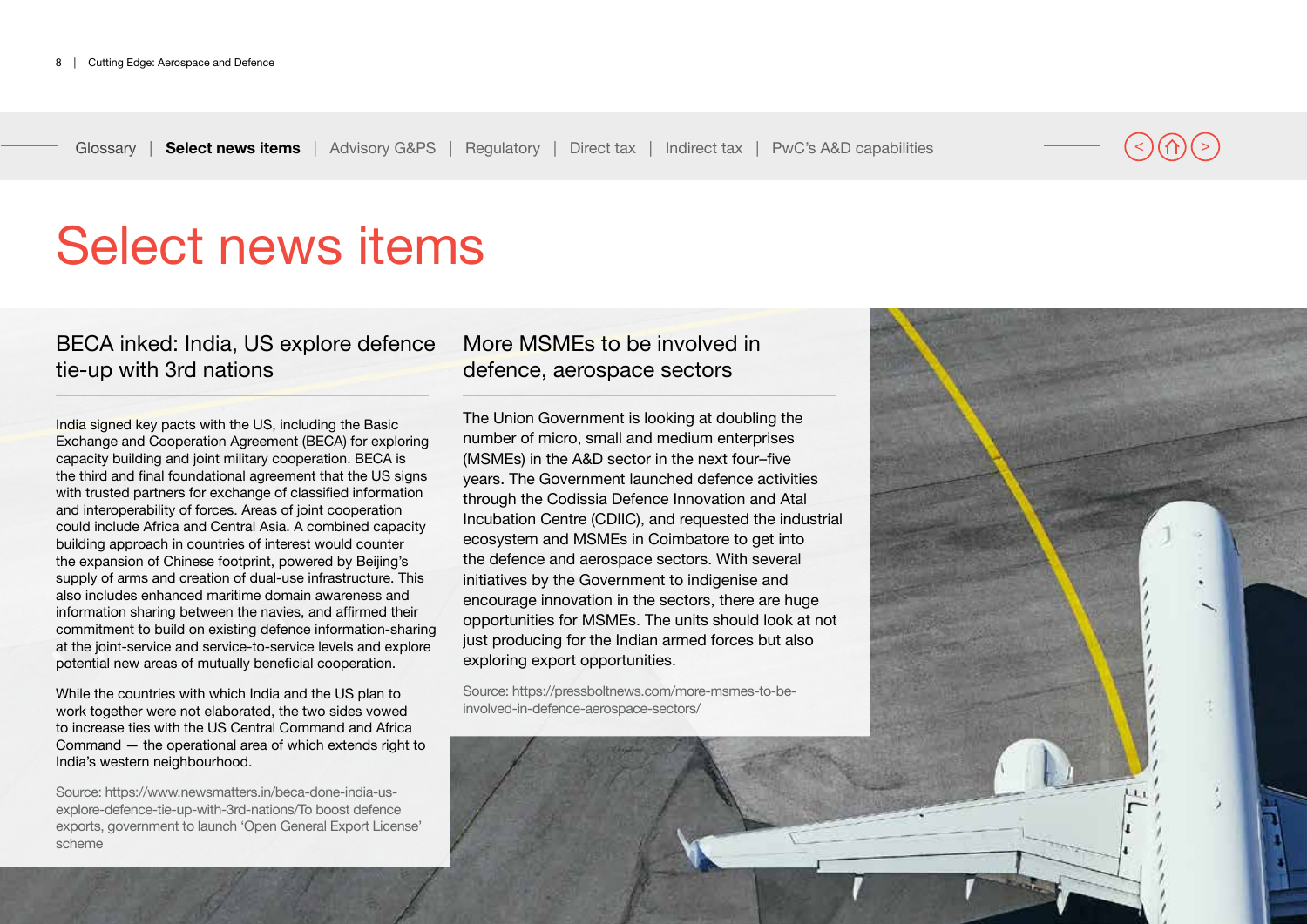# <span id="page-7-0"></span>Select news items

# BECA inked: India, US explore defence tie-up with 3rd nations

India signed key pacts with the US, including the Basic Exchange and Cooperation Agreement (BECA) for exploring capacity building and joint military cooperation. BECA is the third and final foundational agreement that the US signs with trusted partners for exchange of classified information and interoperability of forces. Areas of joint cooperation could include Africa and Central Asia. A combined capacity building approach in countries of interest would counter the expansion of Chinese footprint, powered by Beijing's supply of arms and creation of dual-use infrastructure. This also includes enhanced maritime domain awareness and information sharing between the navies, and affirmed their commitment to build on existing defence information-sharing at the joint-service and service-to-service levels and explore potential new areas of mutually beneficial cooperation.

While the countries with which India and the US plan to work together were not elaborated, the two sides vowed to increase ties with the US Central Command and Africa Command — the operational area of which extends right to India's western neighbourhood.

Source: https://www.newsmatters.in/beca-done-india-usexplore-defence-tie-up-with-3rd-nations/To boost defence exports, government to launch 'Open General Export License' scheme

## More MSMEs to be involved in defence, aerospace sectors

The Union Government is looking at doubling the number of micro, small and medium enterprises (MSMEs) in the A&D sector in the next four–five years. The Government launched defence activities through the Codissia Defence Innovation and Atal Incubation Centre (CDIIC), and requested the industrial ecosystem and MSMEs in Coimbatore to get into the defence and aerospace sectors. With several initiatives by the Government to indigenise and encourage innovation in the sectors, there are huge opportunities for MSMEs. The units should look at not just producing for the Indian armed forces but also exploring export opportunities.

Source: https://pressboltnews.com/more-msmes-to-beinvolved-in-defence-aerospace-sectors/

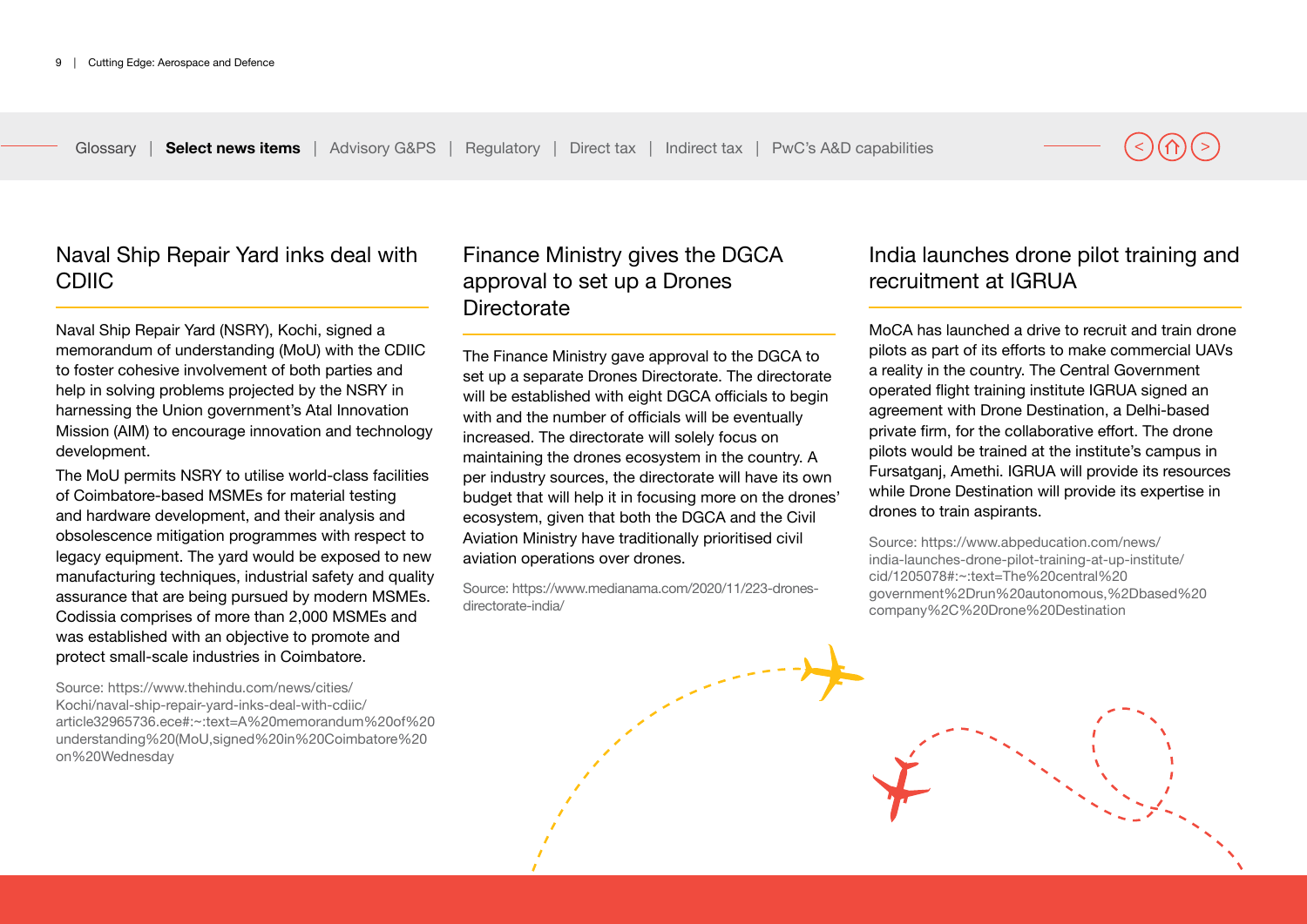Naval Ship Repair Yard inks deal with CDIIC

Naval Ship Repair Yard (NSRY), Kochi, signed a memorandum of understanding (MoU) with the CDIIC to foster cohesive involvement of both parties and help in solving problems projected by the NSRY in harnessing the Union government's Atal Innovation Mission (AIM) to encourage innovation and technology development.

The MoU permits NSRY to utilise world-class facilities of Coimbatore-based MSMEs for material testing and hardware development, and their analysis and obsolescence mitigation programmes with respect to legacy equipment. The yard would be exposed to new manufacturing techniques, industrial safety and quality assurance that are being pursued by modern MSMEs. Codissia comprises of more than 2,000 MSMEs and was established with an objective to promote and protect small-scale industries in Coimbatore.

Source: https://www.thehindu.com/news/cities/ Kochi/naval-ship-repair-yard-inks-deal-with-cdiic/ article32965736.ece#:~:text=A%20memorandum%20of%20 understanding%20(MoU,signed%20in%20Coimbatore%20 on%20Wednesday

## Finance Ministry gives the DGCA approval to set up a Drones **Directorate**

The Finance Ministry gave approval to the DGCA to set up a separate Drones Directorate. The directorate will be established with eight DGCA officials to begin with and the number of officials will be eventually increased. The directorate will solely focus on maintaining the drones ecosystem in the country. A per industry sources, the directorate will have its own budget that will help it in focusing more on the drones' ecosystem, given that both the DGCA and the Civil Aviation Ministry have traditionally prioritised civil aviation operations over drones.

Source: https://www.medianama.com/2020/11/223-dronesdirectorate-india/

## India launches drone pilot training and recruitment at IGRUA

MoCA has launched a drive to recruit and train drone pilots as part of its efforts to make commercial UAVs a reality in the country. The Central Government operated flight training institute IGRUA signed an agreement with Drone Destination, a Delhi-based private firm, for the collaborative effort. The drone pilots would be trained at the institute's campus in Fursatganj, Amethi. IGRUA will provide its resources while Drone Destination will provide its expertise in drones to train aspirants.

Source: https://www.abpeducation.com/news/ india-launches-drone-pilot-training-at-up-institute/ cid/1205078#:~:text=The%20central%20 government%2Drun%20autonomous,%2Dbased%20 company%2C%20Drone%20Destination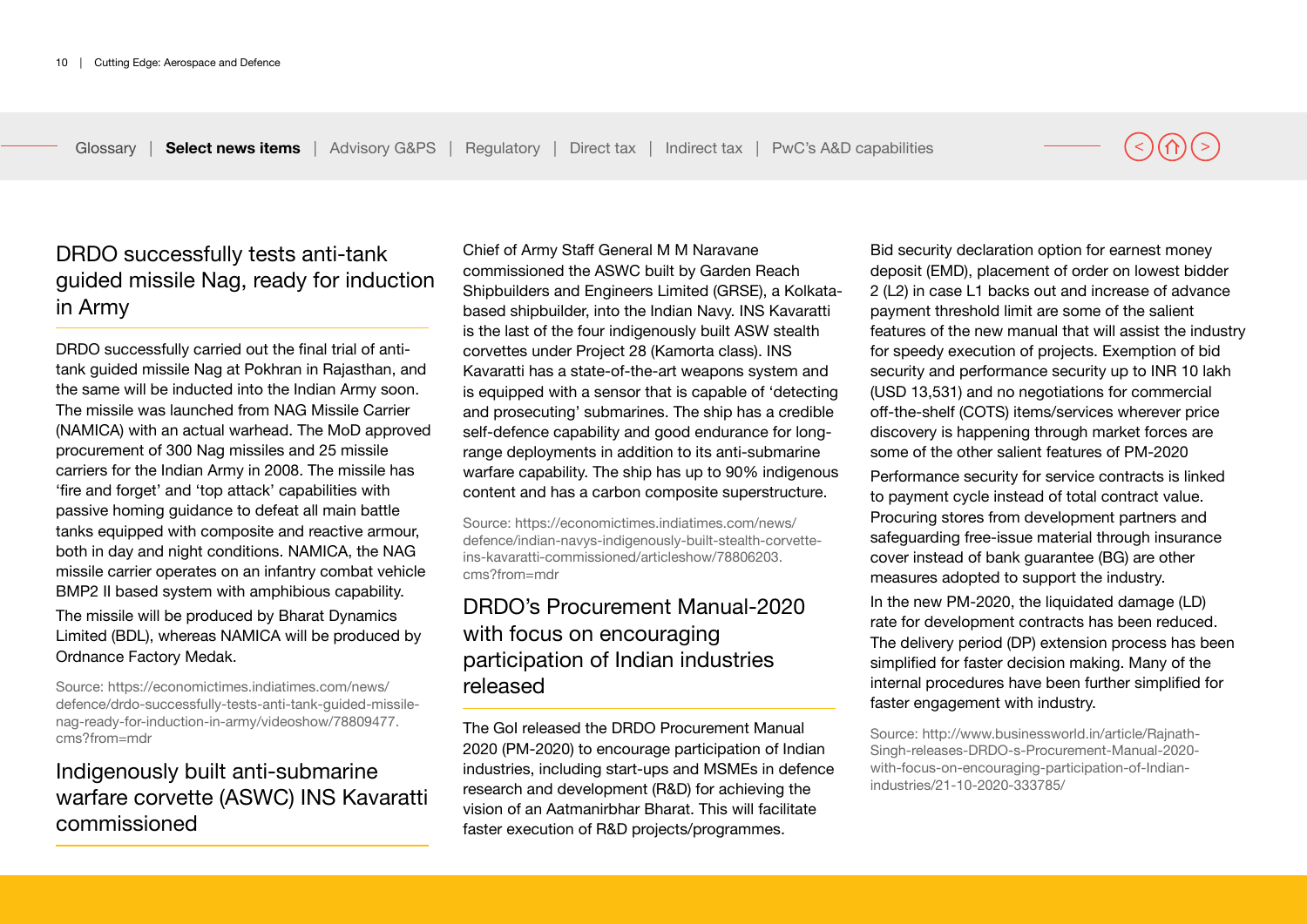# DRDO successfully tests anti-tank guided missile Nag, ready for induction in Army

DRDO successfully carried out the final trial of antitank guided missile Nag at Pokhran in Rajasthan, and the same will be inducted into the Indian Army soon. The missile was launched from NAG Missile Carrier (NAMICA) with an actual warhead. The MoD approved procurement of 300 Nag missiles and 25 missile carriers for the Indian Army in 2008. The missile has 'fire and forget' and 'top attack' capabilities with passive homing guidance to defeat all main battle tanks equipped with composite and reactive armour, both in day and night conditions. NAMICA, the NAG missile carrier operates on an infantry combat vehicle BMP2 II based system with amphibious capability.

The missile will be produced by Bharat Dynamics Limited (BDL), whereas NAMICA will be produced by Ordnance Factory Medak.

Source: https://economictimes.indiatimes.com/news/ defence/drdo-successfully-tests-anti-tank-guided-missilenag-ready-for-induction-in-army/videoshow/78809477. cms?from=mdr

# Indigenously built anti-submarine warfare corvette (ASWC) INS Kavaratti commissioned

Chief of Army Staff General M M Naravane commissioned the ASWC built by Garden Reach Shipbuilders and Engineers Limited (GRSE), a Kolkatabased shipbuilder, into the Indian Navy. INS Kavaratti is the last of the four indigenously built ASW stealth corvettes under Project 28 (Kamorta class). INS Kavaratti has a state-of-the-art weapons system and is equipped with a sensor that is capable of 'detecting and prosecuting' submarines. The ship has a credible self-defence capability and good endurance for longrange deployments in addition to its anti-submarine warfare capability. The ship has up to 90% indigenous content and has a carbon composite superstructure.

Source: https://economictimes.indiatimes.com/news/ defence/indian-navys-indigenously-built-stealth-corvetteins-kavaratti-commissioned/articleshow/78806203. cms?from=mdr

# DRDO's Procurement Manual-2020 with focus on encouraging participation of Indian industries released

The GoI released the DRDO Procurement Manual 2020 (PM-2020) to encourage participation of Indian industries, including start-ups and MSMEs in defence research and development (R&D) for achieving the vision of an Aatmanirbhar Bharat. This will facilitate faster execution of R&D projects/programmes.

Bid security declaration option for earnest money deposit (EMD), placement of order on lowest bidder 2 (L2) in case L1 backs out and increase of advance payment threshold limit are some of the salient features of the new manual that will assist the industry for speedy execution of projects. Exemption of bid security and performance security up to INR 10 lakh (USD 13,531) and no negotiations for commercial off-the-shelf (COTS) items/services wherever price discovery is happening through market forces are some of the other salient features of PM-2020

Performance security for service contracts is linked to payment cycle instead of total contract value. Procuring stores from development partners and safeguarding free-issue material through insurance cover instead of bank guarantee (BG) are other measures adopted to support the industry.

In the new PM-2020, the liquidated damage (LD) rate for development contracts has been reduced. The delivery period (DP) extension process has been simplified for faster decision making. Many of the internal procedures have been further simplified for faster engagement with industry.

Source: http://www.businessworld.in/article/Rajnath-Singh-releases-DRDO-s-Procurement-Manual-2020 with-focus-on-encouraging-participation-of-Indianindustries/21-10-2020-333785/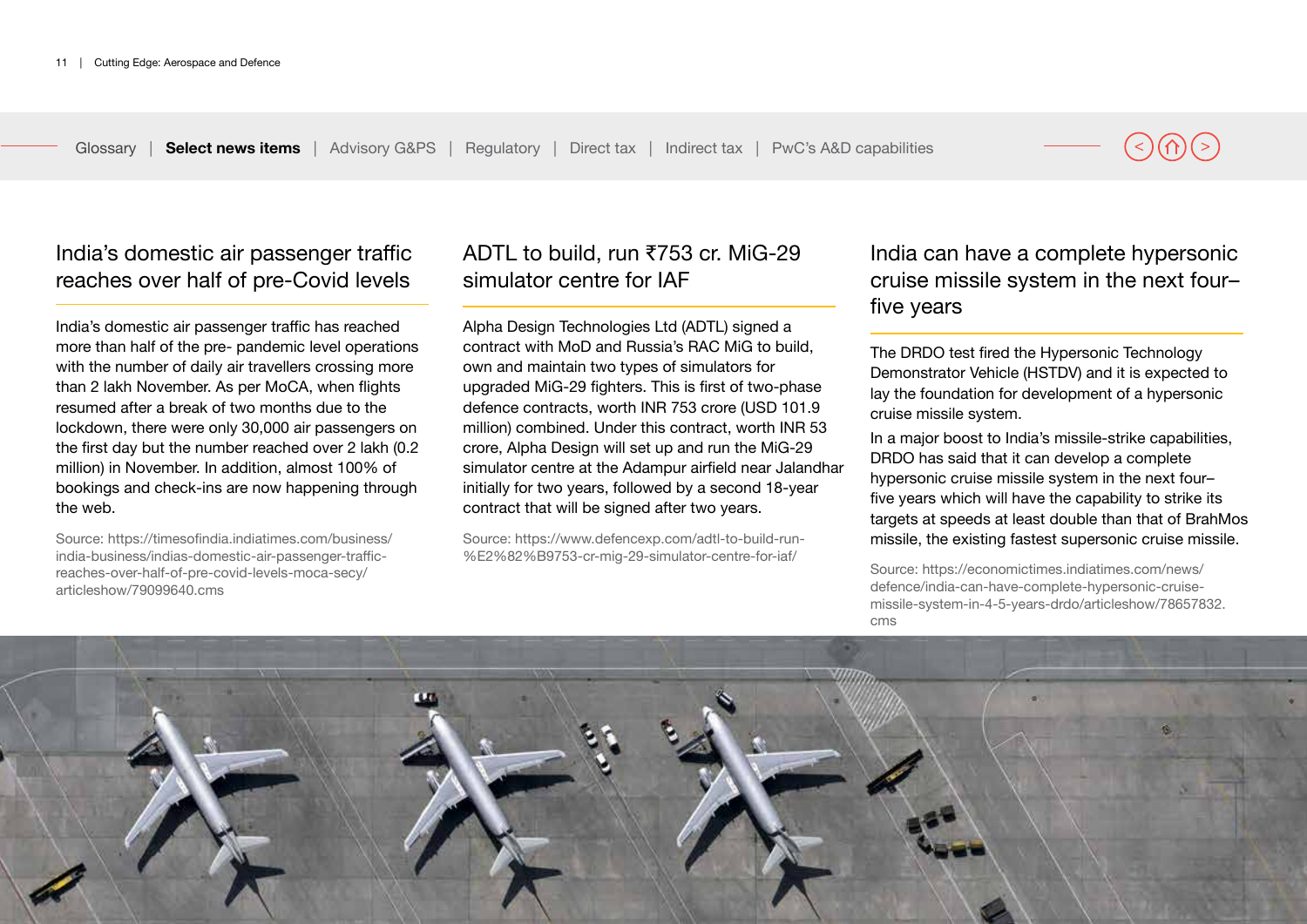India's domestic air passenger traffic reaches over half of pre-Covid levels

India's domestic air passenger traffic has reached more than half of the pre- pandemic level operations with the number of daily air travellers crossing more than 2 lakh November. As per MoCA, when flights resumed after a break of two months due to the lockdown, there were only 30,000 air passengers on the first day but the number reached over 2 lakh (0.2 million) in November. In addition, almost 100% of bookings and check-ins are now happening through the web.

Source: https://timesofindia.indiatimes.com/business/ india-business/indias-domestic-air-passenger-trafficreaches-over-half-of-pre-covid-levels-moca-secy/ articleshow/79099640.cms

# ADTL to build, run ₹753 cr. MiG-29 simulator centre for IAF

Alpha Design Technologies Ltd (ADTL) signed a contract with MoD and Russia's RAC MiG to build, own and maintain two types of simulators for upgraded MiG-29 fighters. This is first of two-phase defence contracts, worth INR 753 crore (USD 101.9 million) combined. Under this contract, worth INR 53 crore, Alpha Design will set up and run the MiG-29 simulator centre at the Adampur airfield near Jalandhar initially for two years, followed by a second 18-year contract that will be signed after two years.

Source: https://www.defencexp.com/adtl-to-build-run- %E2%82%B9753-cr-mig-29-simulator-centre-for-iaf/

India can have a complete hypersonic cruise missile system in the next four– five years

The DRDO test fired the Hypersonic Technology Demonstrator Vehicle (HSTDV) and it is expected to lay the foundation for development of a hypersonic cruise missile system.

In a major boost to India's missile-strike capabilities, DRDO has said that it can develop a complete hypersonic cruise missile system in the next four– five years which will have the capability to strike its targets at speeds at least double than that of BrahMos missile, the existing fastest supersonic cruise missile.

Source: https://economictimes.indiatimes.com/news/ defence/india-can-have-complete-hypersonic-cruisemissile-system-in-4-5-years-drdo/articleshow/78657832. cms

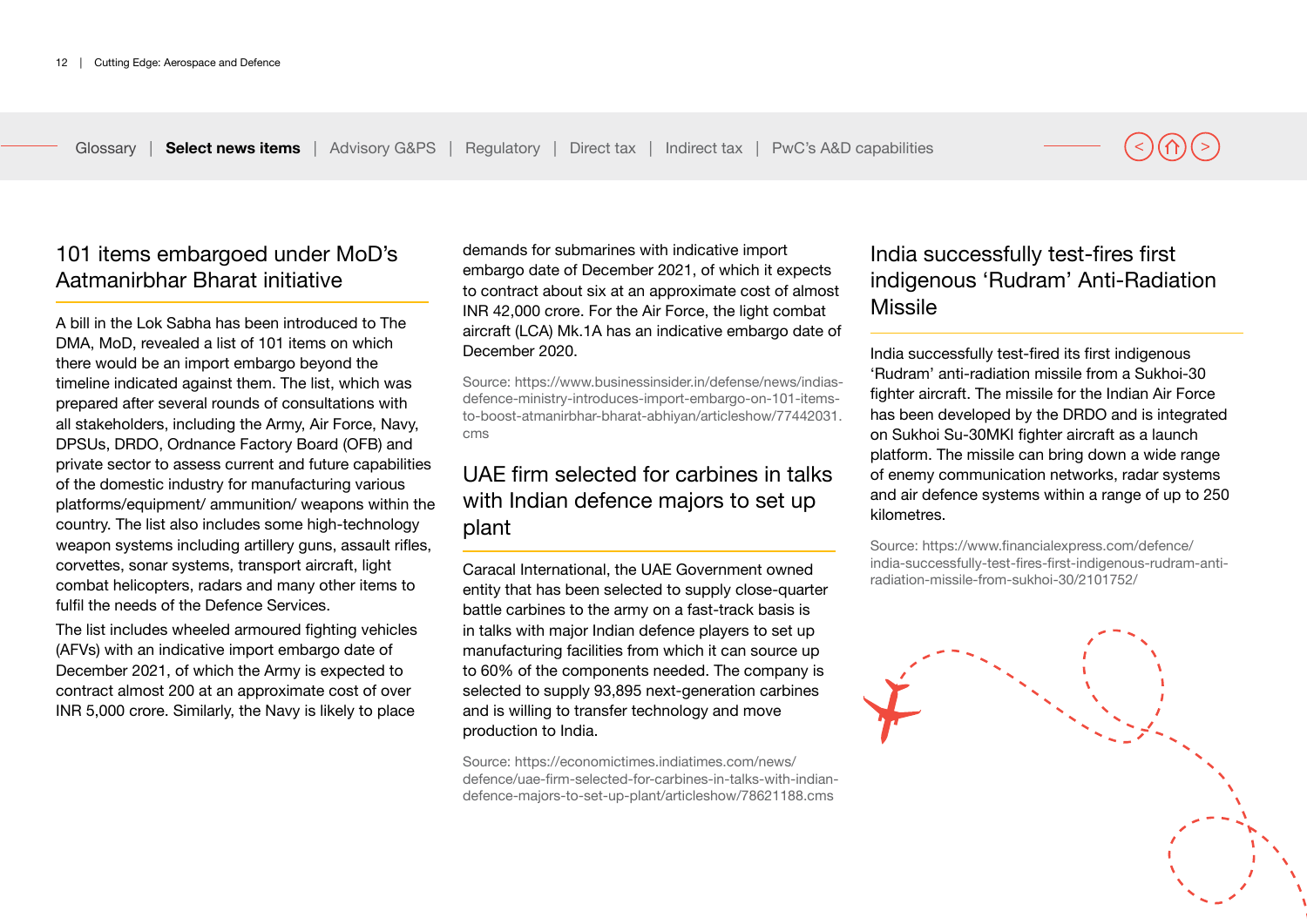101 items embargoed under MoD's Aatmanirbhar Bharat initiative

A bill in the Lok Sabha has been introduced to The DMA, MoD, revealed a list of 101 items on which there would be an import embargo beyond the timeline indicated against them. The list, which was prepared after several rounds of consultations with all stakeholders, including the Army, Air Force, Navy, DPSUs, DRDO, Ordnance Factory Board (OFB) and private sector to assess current and future capabilities of the domestic industry for manufacturing various platforms/equipment/ ammunition/ weapons within the country. The list also includes some high-technology weapon systems including artillery guns, assault rifles, corvettes, sonar systems, transport aircraft, light combat helicopters, radars and many other items to fulfil the needs of the Defence Services.

The list includes wheeled armoured fighting vehicles (AFVs) with an indicative import embargo date of December 2021, of which the Army is expected to contract almost 200 at an approximate cost of over INR 5,000 crore. Similarly, the Navy is likely to place demands for submarines with indicative import embargo date of December 2021, of which it expects to contract about six at an approximate cost of almost INR 42,000 crore. For the Air Force, the light combat aircraft (LCA) Mk.1A has an indicative embargo date of December 2020.

Source: https://www.businessinsider.in/defense/news/indiasdefence-ministry-introduces-import-embargo-on-101-itemsto-boost-atmanirbhar-bharat-abhiyan/articleshow/77442031. cms

# UAE firm selected for carbines in talks with Indian defence majors to set up plant

Caracal International, the UAE Government owned entity that has been selected to supply close-quarter battle carbines to the army on a fast-track basis is in talks with major Indian defence players to set up manufacturing facilities from which it can source up to 60% of the components needed. The company is selected to supply 93,895 next-generation carbines and is willing to transfer technology and move production to India.

Source: https://economictimes.indiatimes.com/news/ defence/uae-firm-selected-for-carbines-in-talks-with-indiandefence-majors-to-set-up-plant/articleshow/78621188.cms

# India successfully test-fires first indigenous 'Rudram' Anti-Radiation Missile

India successfully test-fired its first indigenous 'Rudram' anti-radiation missile from a Sukhoi-30 fighter aircraft. The missile for the Indian Air Force has been developed by the DRDO and is integrated on Sukhoi Su-30MKI fighter aircraft as a launch platform. The missile can bring down a wide range of enemy communication networks, radar systems and air defence systems within a range of up to 250 kilometres.

Source: https://www.financialexpress.com/defence/ india-successfully-test-fires-first-indigenous-rudram-antiradiation-missile-from-sukhoi-30/2101752/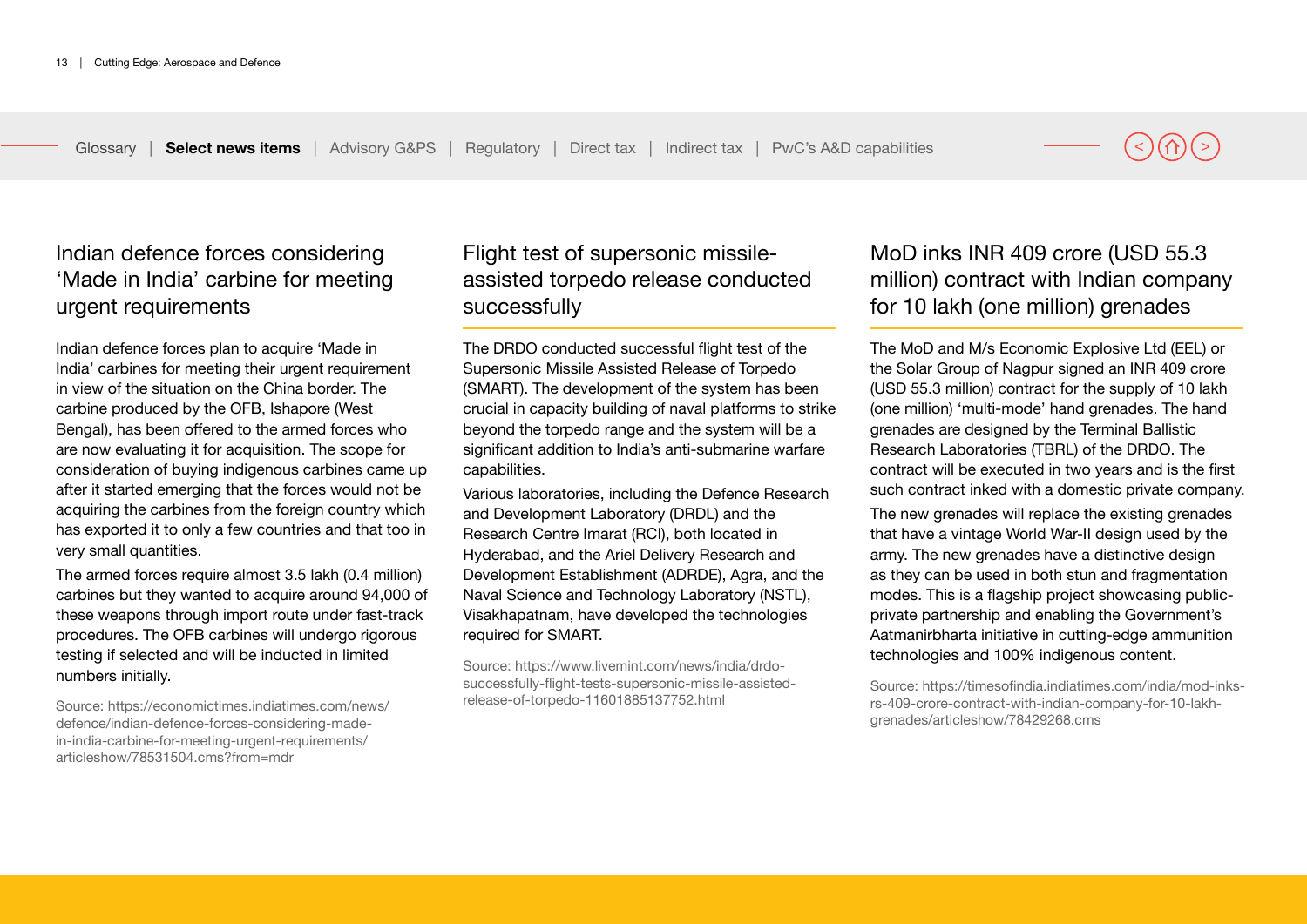Indian defence forces considering 'Made in India' carbine for meeting urgent requirements

Indian defence forces plan to acquire 'Made in India' carbines for meeting their urgent requirement in view of the situation on the China border. The carbine produced by the OFB, Ishapore (West Bengal), has been offered to the armed forces who are now evaluating it for acquisition. The scope for consideration of buying indigenous carbines came up after it started emerging that the forces would not be acquiring the carbines from the foreign country which has exported it to only a few countries and that too in very small quantities.

The armed forces require almost 3.5 lakh (0.4 million) carbines but they wanted to acquire around 94,000 of these weapons through import route under fast-track procedures. The OFB carbines will undergo rigorous testing if selected and will be inducted in limited numbers initially.

Source: https://economictimes.indiatimes.com/news/ defence/indian-defence-forces-considering-madein-india-carbine-for-meeting-urgent-requirements/ articleshow/78531504.cms?from=mdr

# Flight test of supersonic missileassisted torpedo release conducted successfully

The DRDO conducted successful flight test of the Supersonic Missile Assisted Release of Torpedo (SMART). The development of the system has been crucial in capacity building of naval platforms to strike beyond the torpedo range and the system will be a significant addition to India's anti-submarine warfare capabilities.

Various laboratories, including the Defence Research and Development Laboratory (DRDL) and the Research Centre Imarat (RCI), both located in Hyderabad, and the Ariel Delivery Research and Development Establishment (ADRDE), Agra, and the Naval Science and Technology Laboratory (NSTL), Visakhapatnam, have developed the technologies required for SMART.

Source: https://www.livemint.com/news/india/drdosuccessfully-flight-tests-supersonic-missile-assistedrelease-of-torpedo-11601885137752.html

# MoD inks INR 409 crore (USD 55.3 million) contract with Indian company for 10 lakh (one million) grenades

The MoD and M/s Economic Explosive Ltd (EEL) or the Solar Group of Nagpur signed an INR 409 crore (USD 55.3 million) contract for the supply of 10 lakh (one million) 'multi-mode' hand grenades. The hand grenades are designed by the Terminal Ballistic Research Laboratories (TBRL) of the DRDO. The contract will be executed in two years and is the first such contract inked with a domestic private company.

The new grenades will replace the existing grenades that have a vintage World War-II design used by the army. The new grenades have a distinctive design as they can be used in both stun and fragmentation modes. This is a flagship project showcasing publicprivate partnership and enabling the Government's Aatmanirbharta initiative in cutting-edge ammunition technologies and 100% indigenous content.

Source: https://timesofindia.indiatimes.com/india/mod-inksrs-409-crore-contract-with-indian-company-for-10-lakhgrenades/articleshow/78429268.cms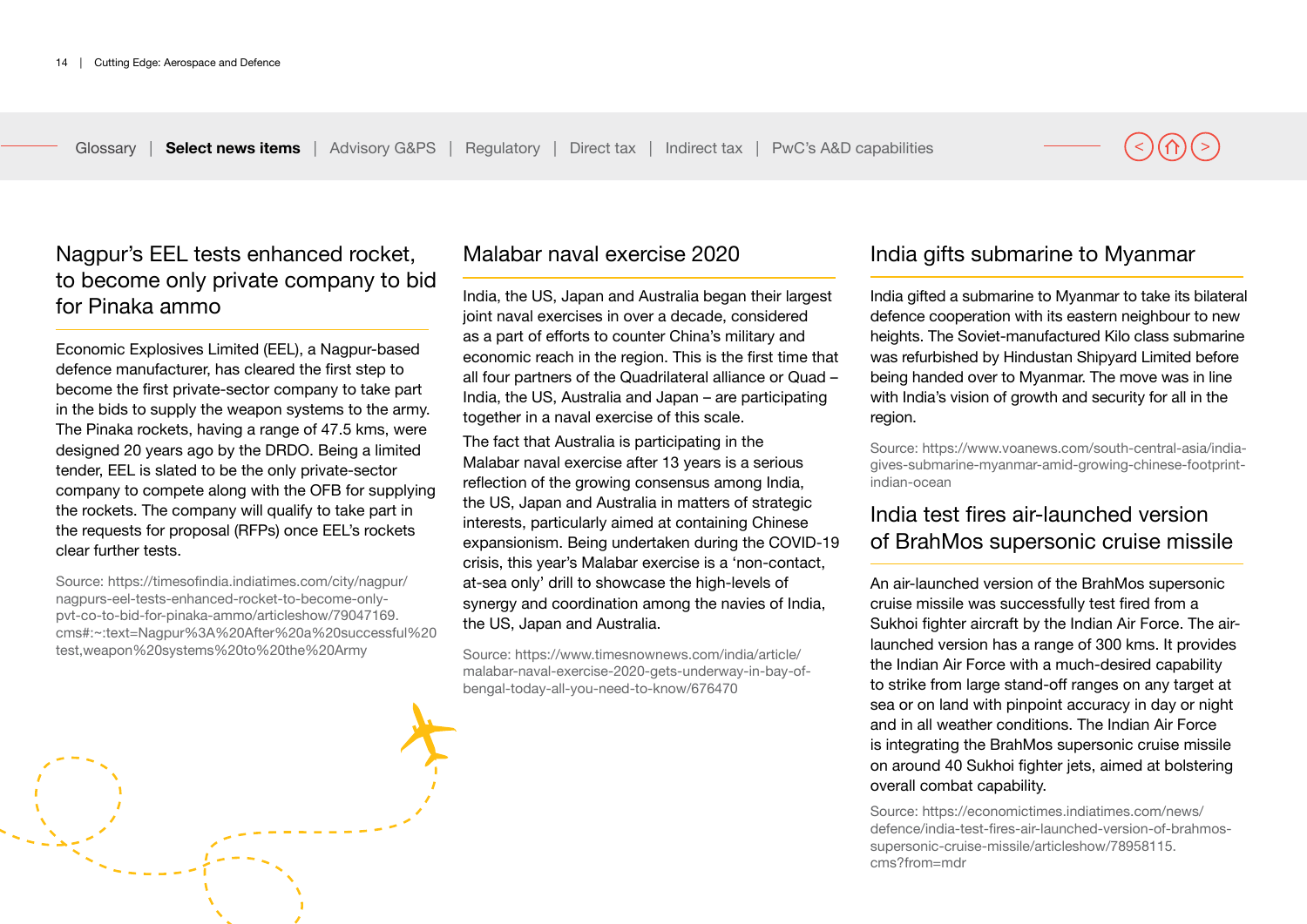# Nagpur's EEL tests enhanced rocket, to become only private company to bid for Pinaka ammo

Economic Explosives Limited (EEL), a Nagpur-based defence manufacturer, has cleared the first step to become the first private-sector company to take part in the bids to supply the weapon systems to the army. The Pinaka rockets, having a range of 47.5 kms, were designed 20 years ago by the DRDO. Being a limited tender, EEL is slated to be the only private-sector company to compete along with the OFB for supplying the rockets. The company will qualify to take part in the requests for proposal (RFPs) once EEL's rockets clear further tests.

Source: https://timesofindia.indiatimes.com/city/nagpur/ nagpurs-eel-tests-enhanced-rocket-to-become-onlypvt-co-to-bid-for-pinaka-ammo/articleshow/79047169. cms#:~:text=Nagpur%3A%20After%20a%20successful%20 test,weapon%20systems%20to%20the%20Army

Malabar naval exercise 2020

India, the US, Japan and Australia began their largest joint naval exercises in over a decade, considered as a part of efforts to counter China's military and economic reach in the region. This is the first time that all four partners of the Quadrilateral alliance or Quad – India, the US, Australia and Japan – are participating together in a naval exercise of this scale.

The fact that Australia is participating in the Malabar naval exercise after 13 years is a serious reflection of the growing consensus among India, the US, Japan and Australia in matters of strategic interests, particularly aimed at containing Chinese expansionism. Being undertaken during the COVID-19 crisis, this year's Malabar exercise is a 'non-contact, at-sea only' drill to showcase the high-levels of synergy and coordination among the navies of India, the US, Japan and Australia.

Source: https://www.timesnownews.com/india/article/ malabar-naval-exercise-2020-gets-underway-in-bay-ofbengal-today-all-you-need-to-know/676470

## India gifts submarine to Myanmar

India gifted a submarine to Myanmar to take its bilateral defence cooperation with its eastern neighbour to new heights. The Soviet-manufactured Kilo class submarine was refurbished by Hindustan Shipyard Limited before being handed over to Myanmar. The move was in line with India's vision of growth and security for all in the region.

Source: https://www.voanews.com/south-central-asia/indiagives-submarine-myanmar-amid-growing-chinese-footprintindian-ocean

# India test fires air-launched version of BrahMos supersonic cruise missile

An air-launched version of the BrahMos supersonic cruise missile was successfully test fired from a Sukhoi fighter aircraft by the Indian Air Force. The airlaunched version has a range of 300 kms. It provides the Indian Air Force with a much-desired capability to strike from large stand-off ranges on any target at sea or on land with pinpoint accuracy in day or night and in all weather conditions. The Indian Air Force is integrating the BrahMos supersonic cruise missile on around 40 Sukhoi fighter jets, aimed at bolstering overall combat capability.

Source: https://economictimes.indiatimes.com/news/ defence/india-test-fires-air-launched-version-of-brahmossupersonic-cruise-missile/articleshow/78958115. cms?from=mdr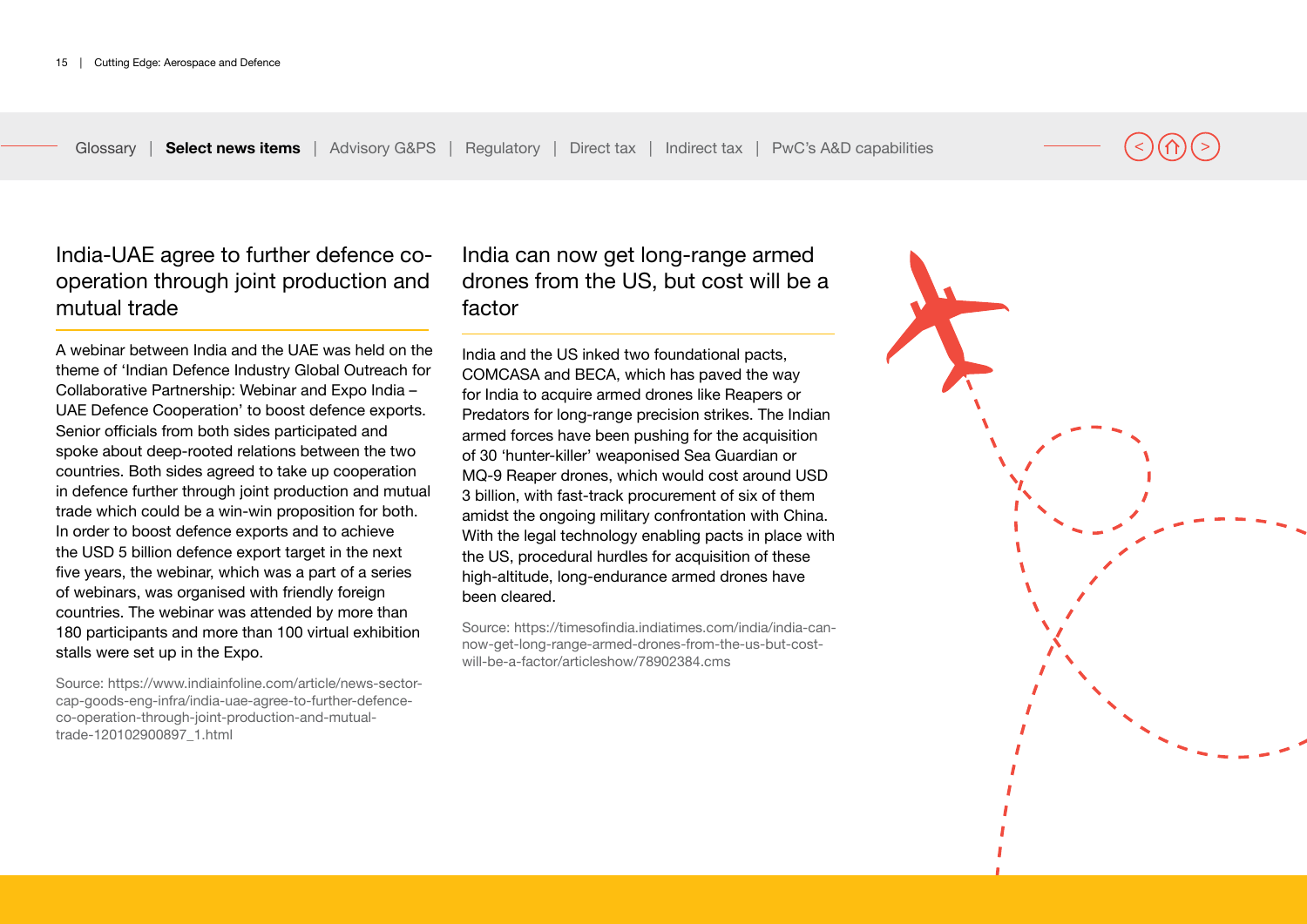# India-UAE agree to further defence cooperation through joint production and mutual trade

A webinar between India and the UAE was held on the theme of 'Indian Defence Industry Global Outreach for Collaborative Partnership: Webinar and Expo India – UAE Defence Cooperation' to boost defence exports. Senior officials from both sides participated and spoke about deep-rooted relations between the two countries. Both sides agreed to take up cooperation in defence further through joint production and mutual trade which could be a win-win proposition for both. In order to boost defence exports and to achieve the USD 5 billion defence export target in the next five years, the webinar, which was a part of a series of webinars, was organised with friendly foreign countries. The webinar was attended by more than 180 participants and more than 100 virtual exhibition stalls were set up in the Expo.

Source: https://www.indiainfoline.com/article/news-sectorcap-goods-eng-infra/india-uae-agree-to-further-defenceco-operation-through-joint-production-and-mutualtrade-120102900897\_1.html

# India can now get long-range armed drones from the US, but cost will be a factor

India and the US inked two foundational pacts, COMCASA and BECA, which has paved the way for India to acquire armed drones like Reapers or Predators for long-range precision strikes. The Indian armed forces have been pushing for the acquisition of 30 'hunter-killer' weaponised Sea Guardian or MQ-9 Reaper drones, which would cost around USD 3 billion, with fast-track procurement of six of them amidst the ongoing military confrontation with China. With the legal technology enabling pacts in place with the US, procedural hurdles for acquisition of these high-altitude, long-endurance armed drones have been cleared.

Source: https://timesofindia.indiatimes.com/india/india-cannow-get-long-range-armed-drones-from-the-us-but-costwill-be-a-factor/articleshow/78902384.cms

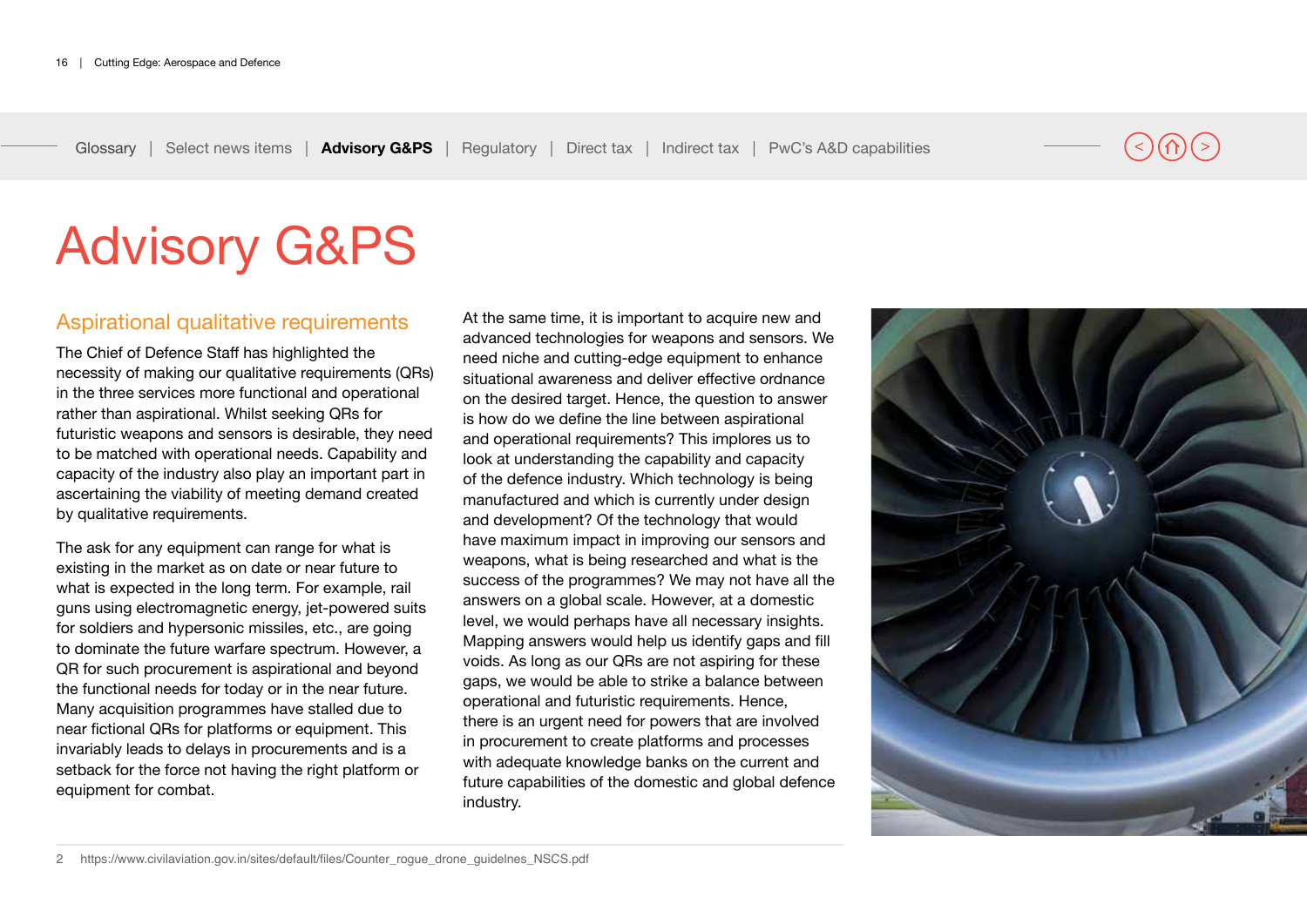# <span id="page-15-0"></span>Advisory G&PS

### Aspirational qualitative requirements

The Chief of Defence Staff has highlighted the necessity of making our qualitative requirements (QRs) in the three services more functional and operational rather than aspirational. Whilst seeking QRs for futuristic weapons and sensors is desirable, they need to be matched with operational needs. Capability and capacity of the industry also play an important part in ascertaining the viability of meeting demand created by qualitative requirements.

The ask for any equipment can range for what is existing in the market as on date or near future to what is expected in the long term. For example, rail guns using electromagnetic energy, jet-powered suits for soldiers and hypersonic missiles, etc., are going to dominate the future warfare spectrum. However, a QR for such procurement is aspirational and beyond the functional needs for today or in the near future. Many acquisition programmes have stalled due to near fictional QRs for platforms or equipment. This invariably leads to delays in procurements and is a setback for the force not having the right platform or equipment for combat.

At the same time, it is important to acquire new and advanced technologies for weapons and sensors. We need niche and cutting-edge equipment to enhance situational awareness and deliver effective ordnance on the desired target. Hence, the question to answer is how do we define the line between aspirational and operational requirements? This implores us to look at understanding the capability and capacity of the defence industry. Which technology is being manufactured and which is currently under design and development? Of the technology that would have maximum impact in improving our sensors and weapons, what is being researched and what is the success of the programmes? We may not have all the answers on a global scale. However, at a domestic level, we would perhaps have all necessary insights. Mapping answers would help us identify gaps and fill voids. As long as our QRs are not aspiring for these gaps, we would be able to strike a balance between operational and futuristic requirements. Hence, there is an urgent need for powers that are involved in procurement to create platforms and processes with adequate knowledge banks on the current and future capabilities of the domestic and global defence industry.

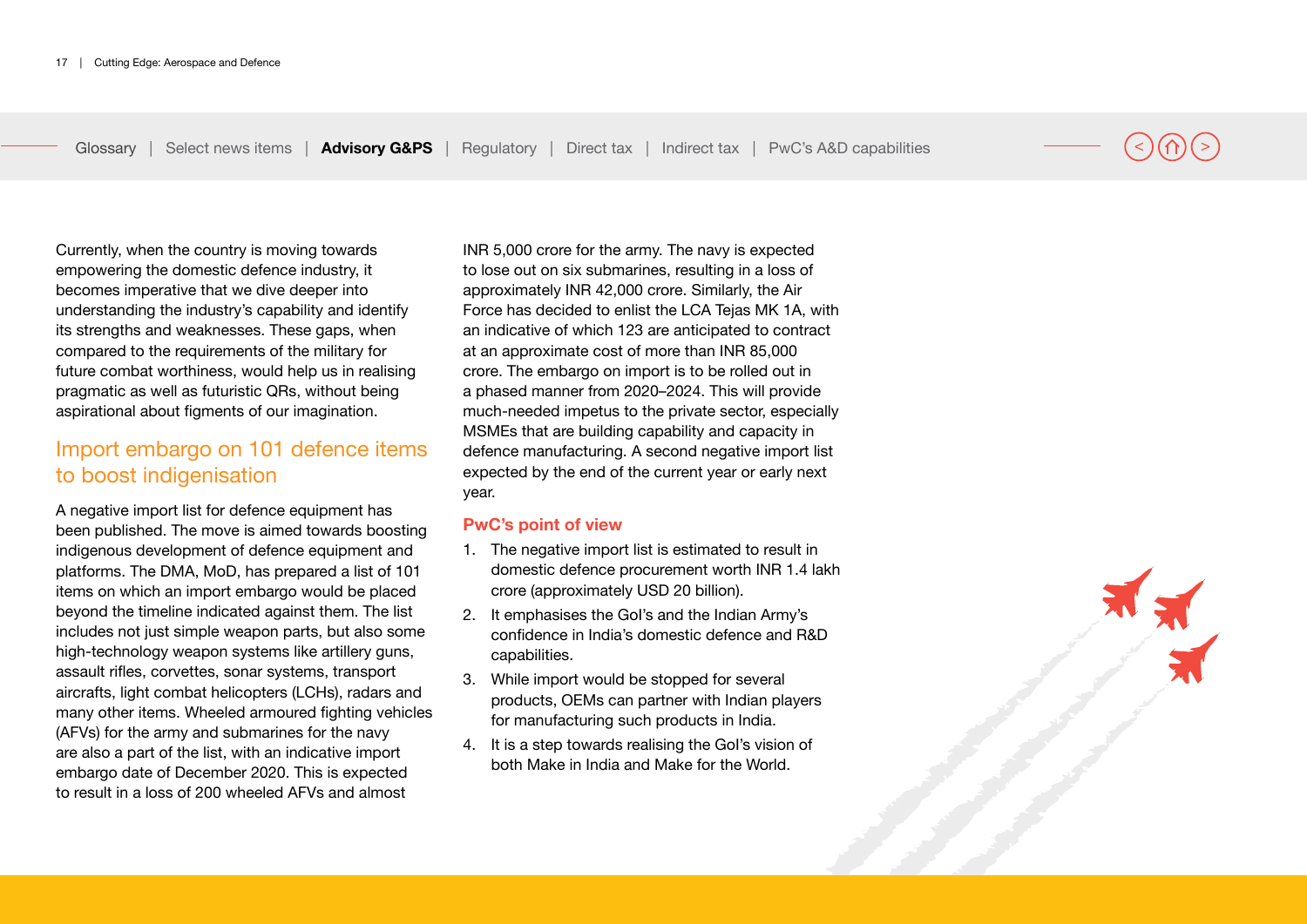Currently, when the country is moving towards empowering the domestic defence industry, it becomes imperative that we dive deeper into understanding the industry's capability and identify its strengths and weaknesses. These gaps, when compared to the requirements of the military for future combat worthiness, would help us in realising pragmatic as well as futuristic QRs, without being aspirational about figments of our imagination.

## Import embargo on 101 defence items to boost indigenisation

A negative import list for defence equipment has been published. The move is aimed towards boosting indigenous development of defence equipment and platforms. The DMA, MoD, has prepared a list of 101 items on which an import embargo would be placed beyond the timeline indicated against them. The list includes not just simple weapon parts, but also some high-technology weapon systems like artillery guns, assault rifles, corvettes, sonar systems, transport aircrafts, light combat helicopters (LCHs), radars and many other items. Wheeled armoured fighting vehicles (AFVs) for the army and submarines for the navy are also a part of the list, with an indicative import embargo date of December 2020. This is expected to result in a loss of 200 wheeled AFVs and almost

INR 5,000 crore for the army. The navy is expected to lose out on six submarines, resulting in a loss of approximately INR 42,000 crore. Similarly, the Air Force has decided to enlist the LCA Tejas MK 1A, with an indicative of which 123 are anticipated to contract at an approximate cost of more than INR 85,000 crore. The embargo on import is to be rolled out in a phased manner from 2020–2024. This will provide much-needed impetus to the private sector, especially MSMEs that are building capability and capacity in defence manufacturing. A second negative import list expected by the end of the current year or early next year.

#### **PwC's point of view**

- 1. The negative import list is estimated to result in domestic defence procurement worth INR 1.4 lakh crore (approximately USD 20 billion).
- 2. It emphasises the GoI's and the Indian Army's confidence in India's domestic defence and R&D capabilities.
- 3. While import would be stopped for several products, OEMs can partner with Indian players for manufacturing such products in India.
- 4. It is a step towards realising the GoI's vision of both Make in India and Make for the World.

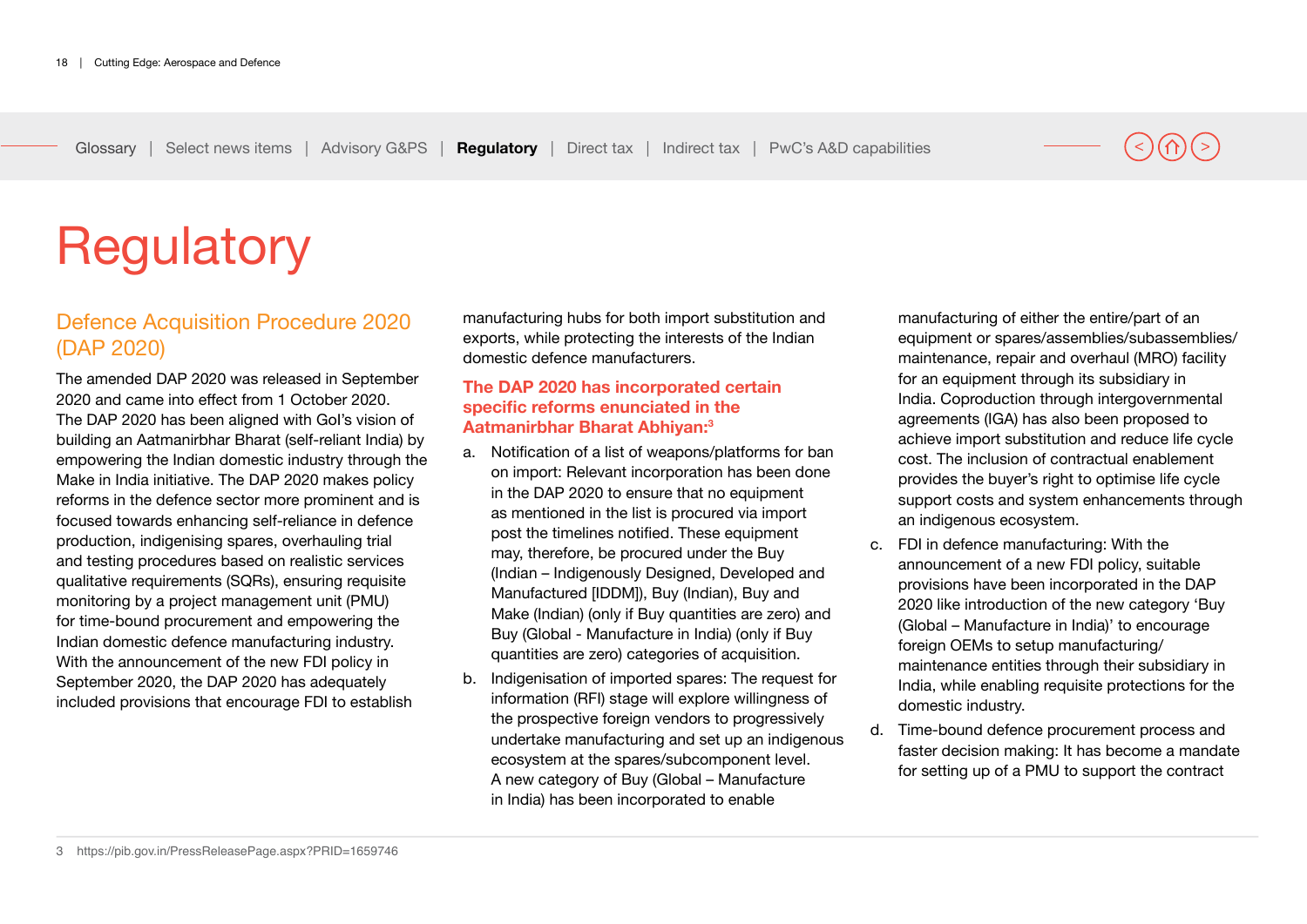# <span id="page-17-0"></span>**Regulatory**

# Defence Acquisition Procedure 2020 (DAP 2020)

The amended DAP 2020 was released in September 2020 and came into effect from 1 October 2020. The DAP 2020 has been aligned with GoI's vision of building an Aatmanirbhar Bharat (self-reliant India) by empowering the Indian domestic industry through the Make in India initiative. The DAP 2020 makes policy reforms in the defence sector more prominent and is focused towards enhancing self-reliance in defence production, indigenising spares, overhauling trial and testing procedures based on realistic services qualitative requirements (SQRs), ensuring requisite monitoring by a project management unit (PMU) for time-bound procurement and empowering the Indian domestic defence manufacturing industry. With the announcement of the new FDI policy in September 2020, the DAP 2020 has adequately included provisions that encourage FDI to establish

manufacturing hubs for both import substitution and exports, while protecting the interests of the Indian domestic defence manufacturers.

#### **The DAP 2020 has incorporated certain specific reforms enunciated in the Aatmanirbhar Bharat Abhiyan:3**

- a. Notification of a list of weapons/platforms for ban on import: Relevant incorporation has been done in the DAP 2020 to ensure that no equipment as mentioned in the list is procured via import post the timelines notified. These equipment may, therefore, be procured under the Buy (Indian – Indigenously Designed, Developed and Manufactured [IDDM]), Buy (Indian), Buy and Make (Indian) (only if Buy quantities are zero) and Buy (Global - Manufacture in India) (only if Buy quantities are zero) categories of acquisition.
- b. Indigenisation of imported spares: The request for information (RFI) stage will explore willingness of the prospective foreign vendors to progressively undertake manufacturing and set up an indigenous ecosystem at the spares/subcomponent level. A new category of Buy (Global – Manufacture in India) has been incorporated to enable

manufacturing of either the entire/part of an equipment or spares/assemblies/subassemblies/ maintenance, repair and overhaul (MRO) facility for an equipment through its subsidiary in India. Coproduction through intergovernmental agreements (IGA) has also been proposed to achieve import substitution and reduce life cycle cost. The inclusion of contractual enablement provides the buyer's right to optimise life cycle support costs and system enhancements through an indigenous ecosystem.

- c. FDI in defence manufacturing: With the announcement of a new FDI policy, suitable provisions have been incorporated in the DAP 2020 like introduction of the new category 'Buy (Global – Manufacture in India)' to encourage foreign OEMs to setup manufacturing/ maintenance entities through their subsidiary in India, while enabling requisite protections for the domestic industry.
- d. Time-bound defence procurement process and faster decision making: It has become a mandate for setting up of a PMU to support the contract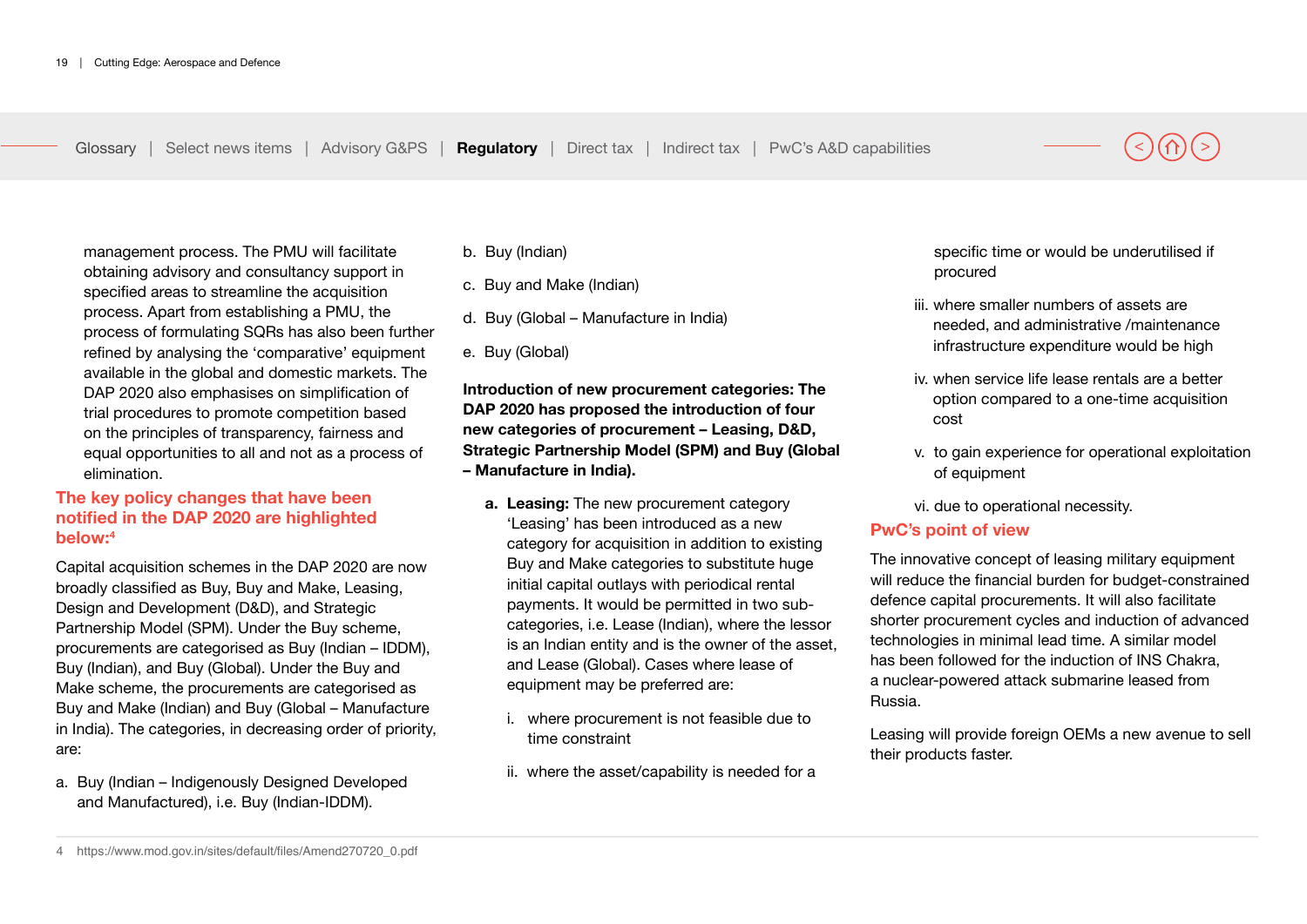management process. The PMU will facilitate obtaining advisory and consultancy support in specified areas to streamline the acquisition process. Apart from establishing a PMU, the process of formulating SQRs has also been further refined by analysing the 'comparative' equipment available in the global and domestic markets. The DAP 2020 also emphasises on simplification of trial procedures to promote competition based on the principles of transparency, fairness and equal opportunities to all and not as a process of elimination.

### **The key policy changes that have been notified in the DAP 2020 are highlighted below:4**

Capital acquisition schemes in the DAP 2020 are now broadly classified as Buy, Buy and Make, Leasing, Design and Development (D&D), and Strategic Partnership Model (SPM). Under the Buy scheme, procurements are categorised as Buy (Indian – IDDM), Buy (Indian), and Buy (Global). Under the Buy and Make scheme, the procurements are categorised as Buy and Make (Indian) and Buy (Global – Manufacture in India). The categories, in decreasing order of priority, are:

a. Buy (Indian – Indigenously Designed Developed and Manufactured), i.e. Buy (Indian-IDDM).

- b. Buy (Indian)
- c. Buy and Make (Indian)
- d. Buy (Global Manufacture in India)
- e. Buy (Global)

**Introduction of new procurement categories: The DAP 2020 has proposed the introduction of four new categories of procurement – Leasing, D&D, Strategic Partnership Model (SPM) and Buy (Global – Manufacture in India).**

- **a. Leasing:** The new procurement category 'Leasing' has been introduced as a new category for acquisition in addition to existing Buy and Make categories to substitute huge initial capital outlays with periodical rental payments. It would be permitted in two subcategories, i.e. Lease (Indian), where the lessor is an Indian entity and is the owner of the asset, and Lease (Global). Cases where lease of equipment may be preferred are:
	- i. where procurement is not feasible due to time constraint
	- ii. where the asset/capability is needed for a

specific time or would be underutilised if procured

- iii. where smaller numbers of assets are needed, and administrative /maintenance infrastructure expenditure would be high
- iv. when service life lease rentals are a better option compared to a one-time acquisition cost
- v. to gain experience for operational exploitation of equipment

vi. due to operational necessity.

#### **PwC's point of view**

The innovative concept of leasing military equipment will reduce the financial burden for budget-constrained defence capital procurements. It will also facilitate shorter procurement cycles and induction of advanced technologies in minimal lead time. A similar model has been followed for the induction of INS Chakra, a nuclear-powered attack submarine leased from Russia.

Leasing will provide foreign OEMs a new avenue to sell their products faster.

<sup>4</sup> https://www.mod.gov.in/sites/default/files/Amend270720\_0.pdf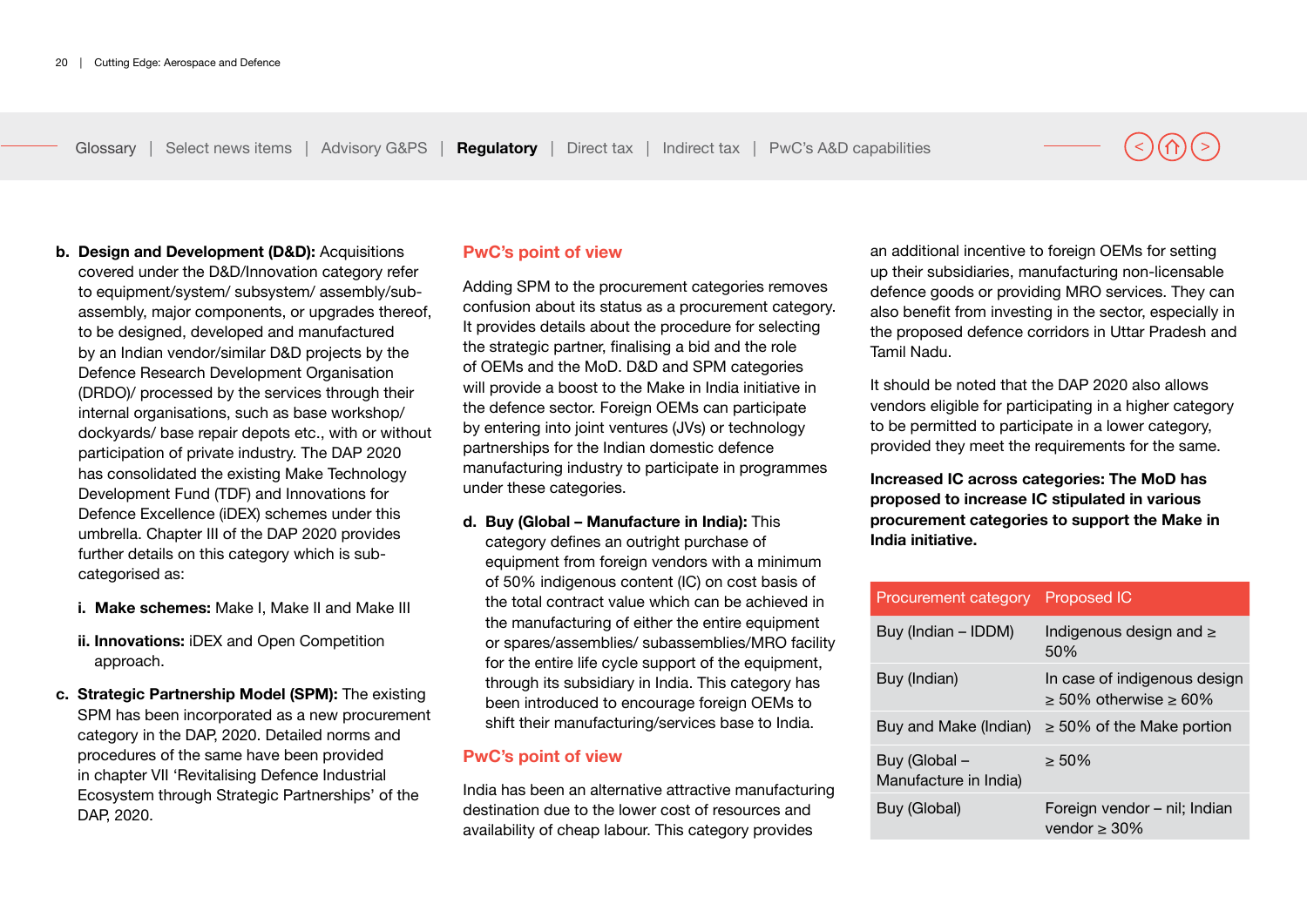- **b. Design and Development (D&D):** Acquisitions covered under the D&D/Innovation category refer to equipment/system/ subsystem/ assembly/subassembly, major components, or upgrades thereof, to be designed, developed and manufactured by an Indian vendor/similar D&D projects by the Defence Research Development Organisation (DRDO)/ processed by the services through their internal organisations, such as base workshop/ dockyards/ base repair depots etc., with or without participation of private industry. The DAP 2020 has consolidated the existing Make Technology Development Fund (TDF) and Innovations for Defence Excellence (iDEX) schemes under this umbrella. Chapter III of the DAP 2020 provides further details on this category which is subcategorised as:
	- **i. Make schemes:** Make I, Make II and Make III
	- **ii. Innovations:** iDEX and Open Competition approach.
- **c. Strategic Partnership Model (SPM):** The existing SPM has been incorporated as a new procurement category in the DAP, 2020. Detailed norms and procedures of the same have been provided in chapter VII 'Revitalising Defence Industrial Ecosystem through Strategic Partnerships' of the DAP, 2020.

#### **PwC's point of view**

Adding SPM to the procurement categories removes confusion about its status as a procurement category. It provides details about the procedure for selecting the strategic partner, finalising a bid and the role of OEMs and the MoD. D&D and SPM categories will provide a boost to the Make in India initiative in the defence sector. Foreign OEMs can participate by entering into joint ventures (JVs) or technology partnerships for the Indian domestic defence manufacturing industry to participate in programmes under these categories.

**d. Buy (Global – Manufacture in India):** This category defines an outright purchase of equipment from foreign vendors with a minimum of 50% indigenous content (IC) on cost basis of the total contract value which can be achieved in the manufacturing of either the entire equipment or spares/assemblies/ subassemblies/MRO facility for the entire life cycle support of the equipment. through its subsidiary in India. This category has been introduced to encourage foreign OEMs to shift their manufacturing/services base to India.

#### **PwC's point of view**

India has been an alternative attractive manufacturing destination due to the lower cost of resources and availability of cheap labour. This category provides

an additional incentive to foreign OEMs for setting up their subsidiaries, manufacturing non-licensable defence goods or providing MRO services. They can also benefit from investing in the sector, especially in the proposed defence corridors in Uttar Pradesh and Tamil Nadu.

It should be noted that the DAP 2020 also allows vendors eligible for participating in a higher category to be permitted to participate in a lower category, provided they meet the requirements for the same.

**Increased IC across categories: The MoD has proposed to increase IC stipulated in various procurement categories to support the Make in India initiative.**

| Procurement category Proposed IC       |                                                           |  |
|----------------------------------------|-----------------------------------------------------------|--|
| Buy (Indian - IDDM)                    | Indigenous design and $\geq$<br>50%                       |  |
| Buy (Indian)                           | In case of indigenous design<br>$>$ 50% otherwise $>$ 60% |  |
| Buy and Make (Indian)                  | $\geq$ 50% of the Make portion                            |  |
| Buy (Global –<br>Manufacture in India) | $> 50\%$                                                  |  |
| Buy (Global)                           | Foreign vendor - nil; Indian<br>vendor $\geq 30\%$        |  |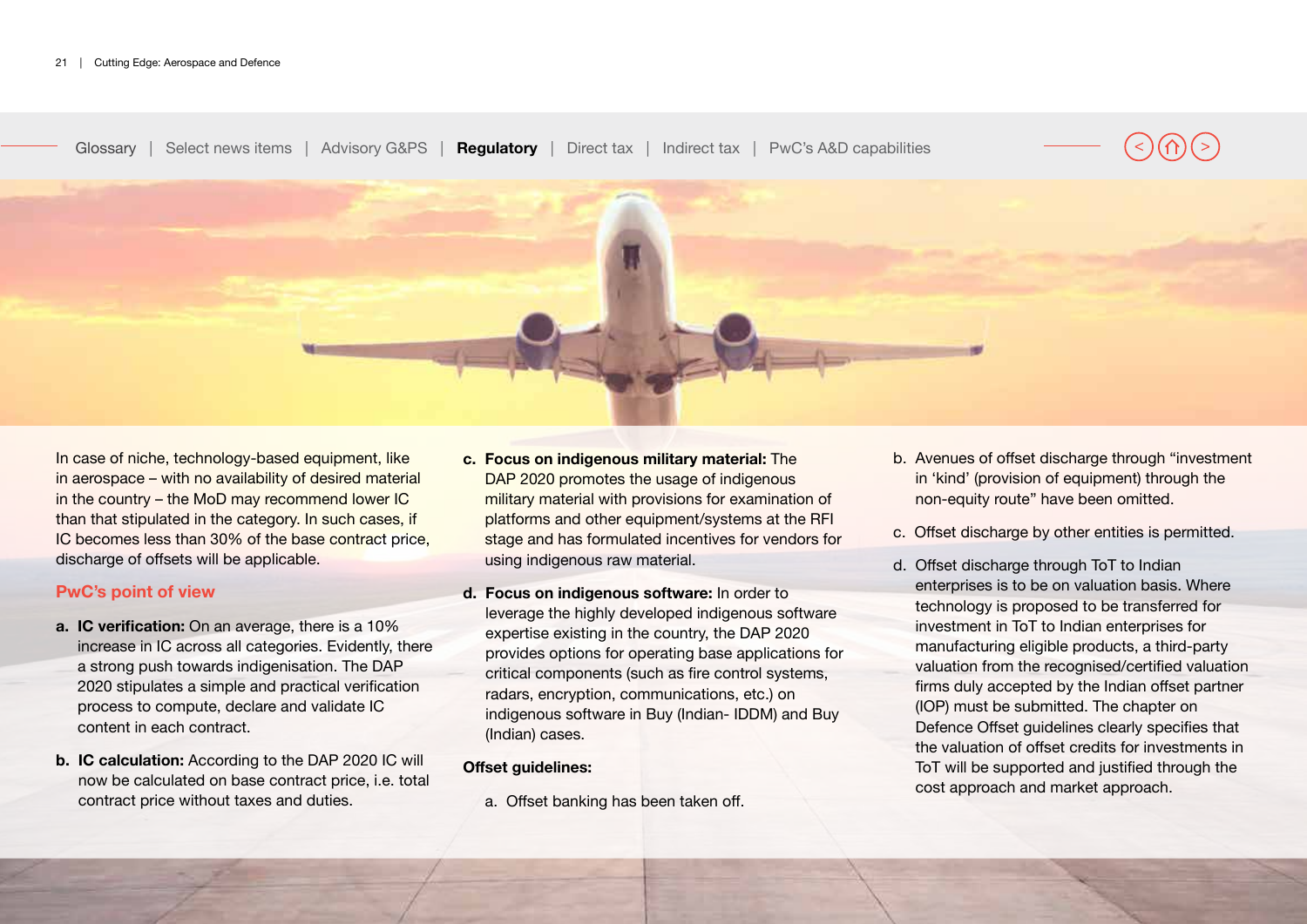

In case of niche, technology-based equipment, like in aerospace – with no availability of desired material in the country – the MoD may recommend lower IC than that stipulated in the category. In such cases, if IC becomes less than 30% of the base contract price, discharge of offsets will be applicable.

#### **PwC's point of view**

- **a. IC verification:** On an average, there is a 10% increase in IC across all categories. Evidently, there a strong push towards indigenisation. The DAP 2020 stipulates a simple and practical verification process to compute, declare and validate IC content in each contract.
- **b. IC calculation:** According to the DAP 2020 IC will now be calculated on base contract price, i.e. total contract price without taxes and duties.
- **c. Focus on indigenous military material:** The DAP 2020 promotes the usage of indigenous military material with provisions for examination of platforms and other equipment/systems at the RFI stage and has formulated incentives for vendors for using indigenous raw material.
- **d. Focus on indigenous software:** In order to leverage the highly developed indigenous software expertise existing in the country, the DAP 2020 provides options for operating base applications for critical components (such as fire control systems, radars, encryption, communications, etc.) on indigenous software in Buy (Indian- IDDM) and Buy (Indian) cases.

#### **Offset guidelines:**

a. Offset banking has been taken off.

- b. Avenues of offset discharge through "investment in 'kind' (provision of equipment) through the non-equity route" have been omitted.
- c. Offset discharge by other entities is permitted.
- d. Offset discharge through ToT to Indian enterprises is to be on valuation basis. Where technology is proposed to be transferred for investment in ToT to Indian enterprises for manufacturing eligible products, a third-party valuation from the recognised/certified valuation firms duly accepted by the Indian offset partner (IOP) must be submitted. The chapter on Defence Offset guidelines clearly specifies that the valuation of offset credits for investments in ToT will be supported and justified through the cost approach and market approach.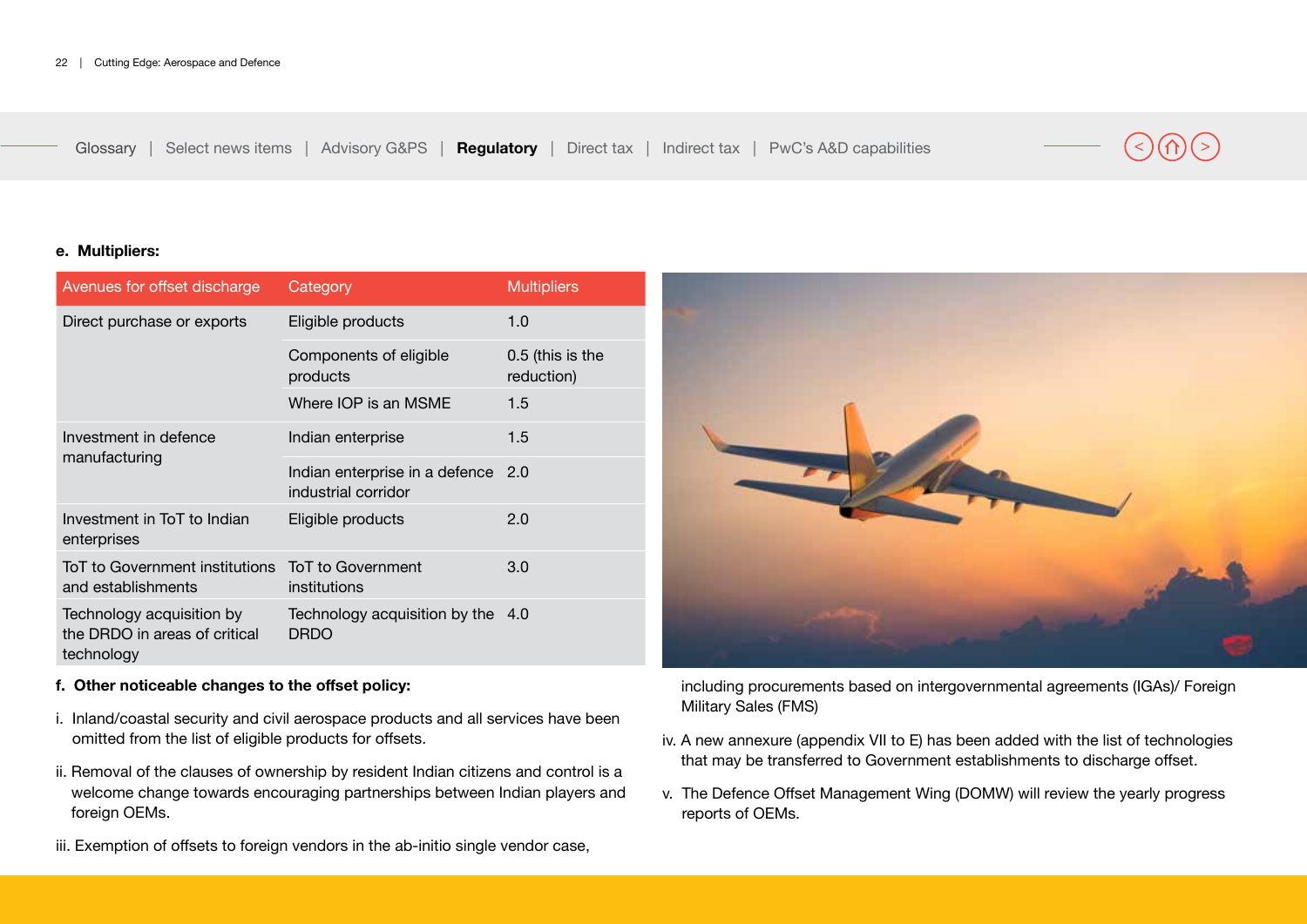#### **e. Multipliers:**

| Avenues for offset discharge                                             | Category                                                  | <b>Multipliers</b>             |
|--------------------------------------------------------------------------|-----------------------------------------------------------|--------------------------------|
| Direct purchase or exports                                               | Eligible products                                         | 1.0                            |
|                                                                          | Components of eligible<br>products                        | 0.5 (this is the<br>reduction) |
|                                                                          | Where IOP is an MSME                                      | 1.5                            |
| Investment in defence                                                    | Indian enterprise                                         | 1.5                            |
| manufacturing                                                            | Indian enterprise in a defence 2.0<br>industrial corridor |                                |
| Investment in ToT to Indian<br>enterprises                               | Eligible products                                         | 2.0                            |
| ToT to Government institutions<br>and establishments                     | <b>ToT</b> to Government<br>institutions                  | 3.0                            |
| Technology acquisition by<br>the DRDO in areas of critical<br>technology | Technology acquisition by the 4.0<br><b>DRDO</b>          |                                |

#### **f. Other noticeable changes to the offset policy:**

- i. Inland/coastal security and civil aerospace products and all services have been omitted from the list of eligible products for offsets.
- ii. Removal of the clauses of ownership by resident Indian citizens and control is a welcome change towards encouraging partnerships between Indian players and foreign OEMs.
- iii. Exemption of offsets to foreign vendors in the ab-initio single vendor case,



including procurements based on intergovernmental agreements (IGAs)/ Foreign Military Sales (FMS)

- iv. A new annexure (appendix VII to E) has been added with the list of technologies that may be transferred to Government establishments to discharge offset.
- v. The Defence Offset Management Wing (DOMW) will review the yearly progress reports of OEMs.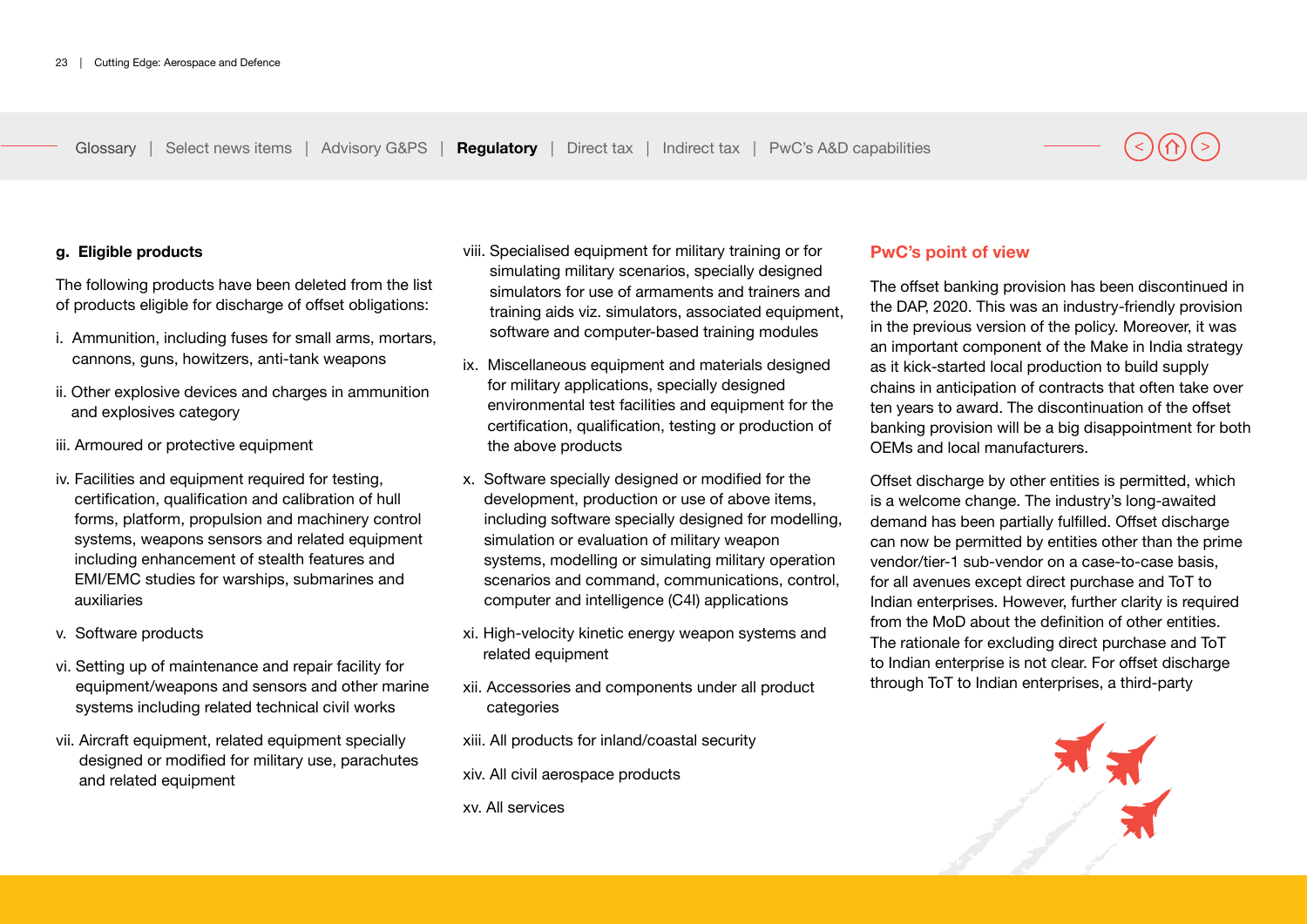#### **g. Eligible products**

The following products have been deleted from the list of products eligible for discharge of offset obligations:

- i. Ammunition, including fuses for small arms, mortars, cannons, guns, howitzers, anti-tank weapons
- ii. Other explosive devices and charges in ammunition and explosives category
- iii. Armoured or protective equipment
- iv. Facilities and equipment required for testing. certification, qualification and calibration of hull forms, platform, propulsion and machinery control systems, weapons sensors and related equipment including enhancement of stealth features and EMI/EMC studies for warships, submarines and auxiliaries
- v. Software products
- vi. Setting up of maintenance and repair facility for equipment/weapons and sensors and other marine systems including related technical civil works
- vii. Aircraft equipment, related equipment specially designed or modified for military use, parachutes and related equipment
- viii. Specialised equipment for military training or for simulating military scenarios, specially designed simulators for use of armaments and trainers and training aids viz. simulators, associated equipment, software and computer-based training modules
- ix. Miscellaneous equipment and materials designed for military applications, specially designed environmental test facilities and equipment for the certification, qualification, testing or production of the above products
- x. Software specially designed or modified for the development, production or use of above items, including software specially designed for modelling, simulation or evaluation of military weapon systems, modelling or simulating military operation scenarios and command, communications, control, computer and intelligence (C4I) applications
- xi. High-velocity kinetic energy weapon systems and related equipment
- xii. Accessories and components under all product categories
- xiii. All products for inland/coastal security
- xiv. All civil aerospace products
- xv. All services

### **PwC's point of view**

The offset banking provision has been discontinued in the DAP, 2020. This was an industry-friendly provision in the previous version of the policy. Moreover, it was an important component of the Make in India strategy as it kick-started local production to build supply chains in anticipation of contracts that often take over ten years to award. The discontinuation of the offset banking provision will be a big disappointment for both OEMs and local manufacturers.

Offset discharge by other entities is permitted, which is a welcome change. The industry's long-awaited demand has been partially fulfilled. Offset discharge can now be permitted by entities other than the prime vendor/tier-1 sub-vendor on a case-to-case basis, for all avenues except direct purchase and ToT to Indian enterprises. However, further clarity is required from the MoD about the definition of other entities. The rationale for excluding direct purchase and ToT to Indian enterprise is not clear. For offset discharge through ToT to Indian enterprises, a third-party

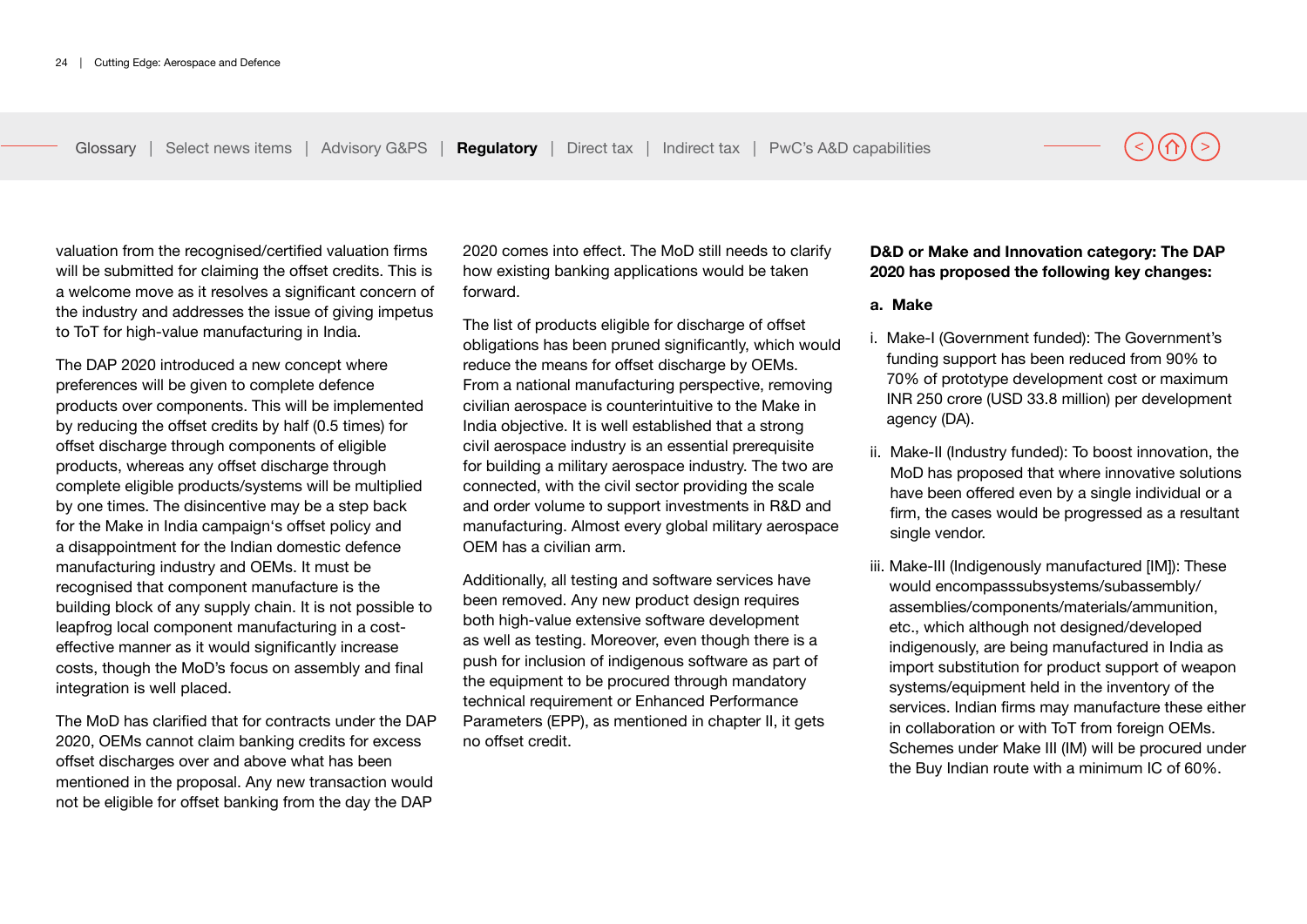valuation from the recognised/certified valuation firms will be submitted for claiming the offset credits. This is a welcome move as it resolves a significant concern of the industry and addresses the issue of giving impetus to ToT for high-value manufacturing in India.

The DAP 2020 introduced a new concept where preferences will be given to complete defence products over components. This will be implemented by reducing the offset credits by half (0.5 times) for offset discharge through components of eligible products, whereas any offset discharge through complete eligible products/systems will be multiplied by one times. The disincentive may be a step back for the Make in India campaign's offset policy and a disappointment for the Indian domestic defence manufacturing industry and OEMs. It must be recognised that component manufacture is the building block of any supply chain. It is not possible to leapfrog local component manufacturing in a costeffective manner as it would significantly increase costs, though the MoD's focus on assembly and final integration is well placed.

The MoD has clarified that for contracts under the DAP 2020, OEMs cannot claim banking credits for excess offset discharges over and above what has been mentioned in the proposal. Any new transaction would not be eligible for offset banking from the day the DAP

2020 comes into effect. The MoD still needs to clarify how existing banking applications would be taken forward.

The list of products eligible for discharge of offset obligations has been pruned significantly, which would reduce the means for offset discharge by OEMs. From a national manufacturing perspective, removing civilian aerospace is counterintuitive to the Make in India objective. It is well established that a strong civil aerospace industry is an essential prerequisite for building a military aerospace industry. The two are connected, with the civil sector providing the scale and order volume to support investments in R&D and manufacturing. Almost every global military aerospace OEM has a civilian arm.

Additionally, all testing and software services have been removed. Any new product design requires both high-value extensive software development as well as testing. Moreover, even though there is a push for inclusion of indigenous software as part of the equipment to be procured through mandatory technical requirement or Enhanced Performance Parameters (EPP), as mentioned in chapter II, it gets no offset credit.

#### **D&D or Make and Innovation category: The DAP 2020 has proposed the following key changes:**

#### **a. Make**

- i. Make-I (Government funded): The Government's funding support has been reduced from 90% to 70% of prototype development cost or maximum INR 250 crore (USD 33.8 million) per development agency (DA).
- ii. Make-II (Industry funded): To boost innovation, the MoD has proposed that where innovative solutions have been offered even by a single individual or a firm, the cases would be progressed as a resultant single vendor.
- iii. Make-III (Indigenously manufactured [IM]): These would encompasssubsystems/subassembly/ assemblies/components/materials/ammunition, etc., which although not designed/developed indigenously, are being manufactured in India as import substitution for product support of weapon systems/equipment held in the inventory of the services. Indian firms may manufacture these either in collaboration or with ToT from foreign OEMs. Schemes under Make III (IM) will be procured under the Buy Indian route with a minimum IC of 60%.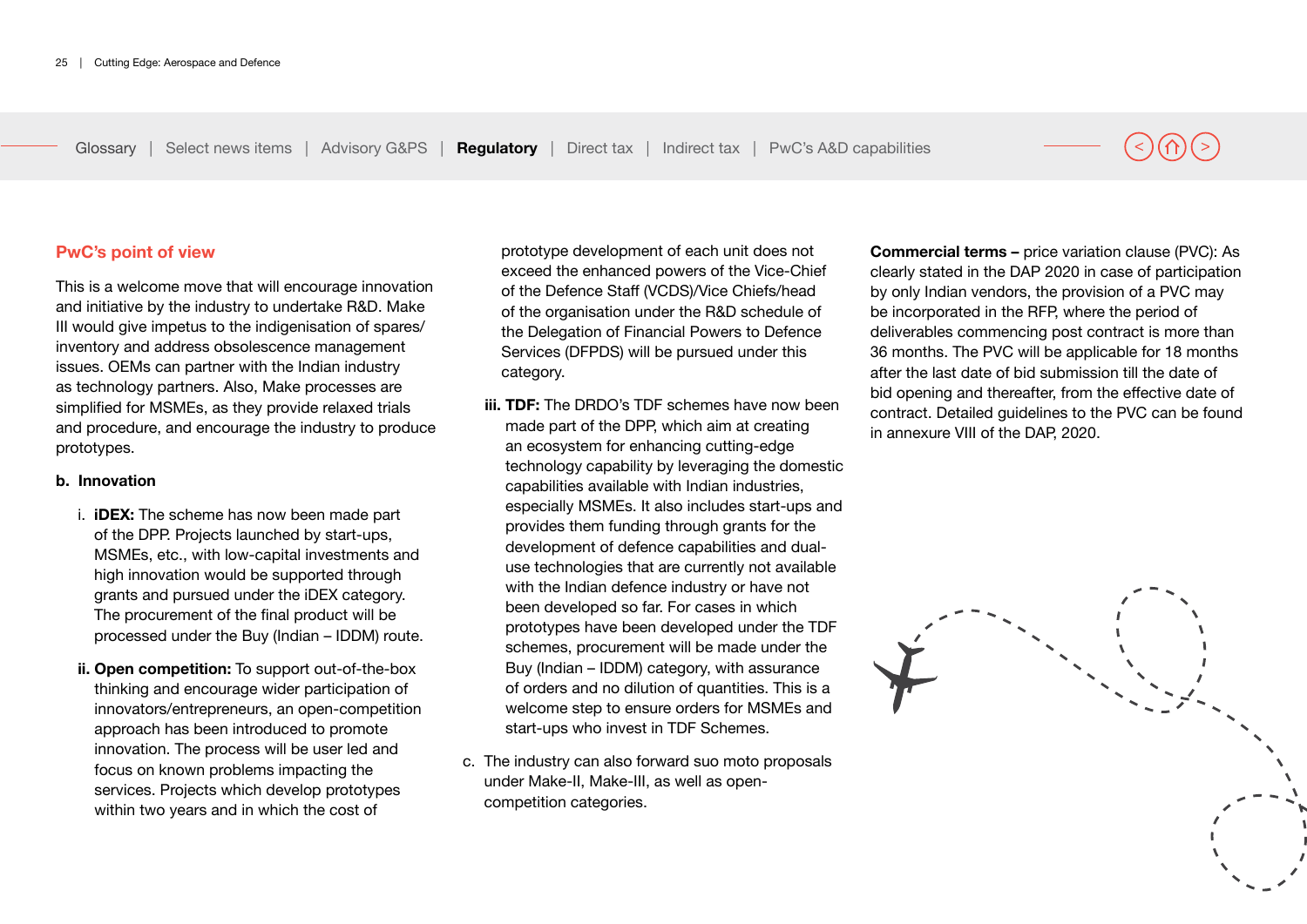**PwC's point of view**

This is a welcome move that will encourage innovation and initiative by the industry to undertake R&D. Make III would give impetus to the indigenisation of spares/ inventory and address obsolescence management issues. OEMs can partner with the Indian industry as technology partners. Also, Make processes are simplified for MSMEs, as they provide relaxed trials and procedure, and encourage the industry to produce prototypes.

#### **b. Innovation**

- i. **iDEX:** The scheme has now been made part of the DPP. Projects launched by start-ups, MSMEs, etc., with low-capital investments and high innovation would be supported through grants and pursued under the iDEX category. The procurement of the final product will be processed under the Buy (Indian – IDDM) route.
- **ii. Open competition:** To support out-of-the-box thinking and encourage wider participation of innovators/entrepreneurs, an open-competition approach has been introduced to promote innovation. The process will be user led and focus on known problems impacting the services. Projects which develop prototypes within two years and in which the cost of

prototype development of each unit does not exceed the enhanced powers of the Vice-Chief of the Defence Staff (VCDS)/Vice Chiefs/head of the organisation under the R&D schedule of the Delegation of Financial Powers to Defence Services (DFPDS) will be pursued under this category.

- **iii. TDF:** The DRDO's TDF schemes have now been made part of the DPP, which aim at creating an ecosystem for enhancing cutting-edge technology capability by leveraging the domestic capabilities available with Indian industries, especially MSMEs. It also includes start-ups and provides them funding through grants for the development of defence capabilities and dualuse technologies that are currently not available with the Indian defence industry or have not been developed so far. For cases in which prototypes have been developed under the TDF schemes, procurement will be made under the Buy (Indian – IDDM) category, with assurance of orders and no dilution of quantities. This is a welcome step to ensure orders for MSMEs and start-ups who invest in TDF Schemes.
- c. The industry can also forward suo moto proposals under Make-II, Make-III, as well as opencompetition categories.

**Commercial terms –** price variation clause (PVC): As clearly stated in the DAP 2020 in case of participation by only Indian vendors, the provision of a PVC may be incorporated in the RFP, where the period of deliverables commencing post contract is more than 36 months. The PVC will be applicable for 18 months after the last date of bid submission till the date of bid opening and thereafter, from the effective date of contract. Detailed guidelines to the PVC can be found in annexure VIII of the DAP, 2020.

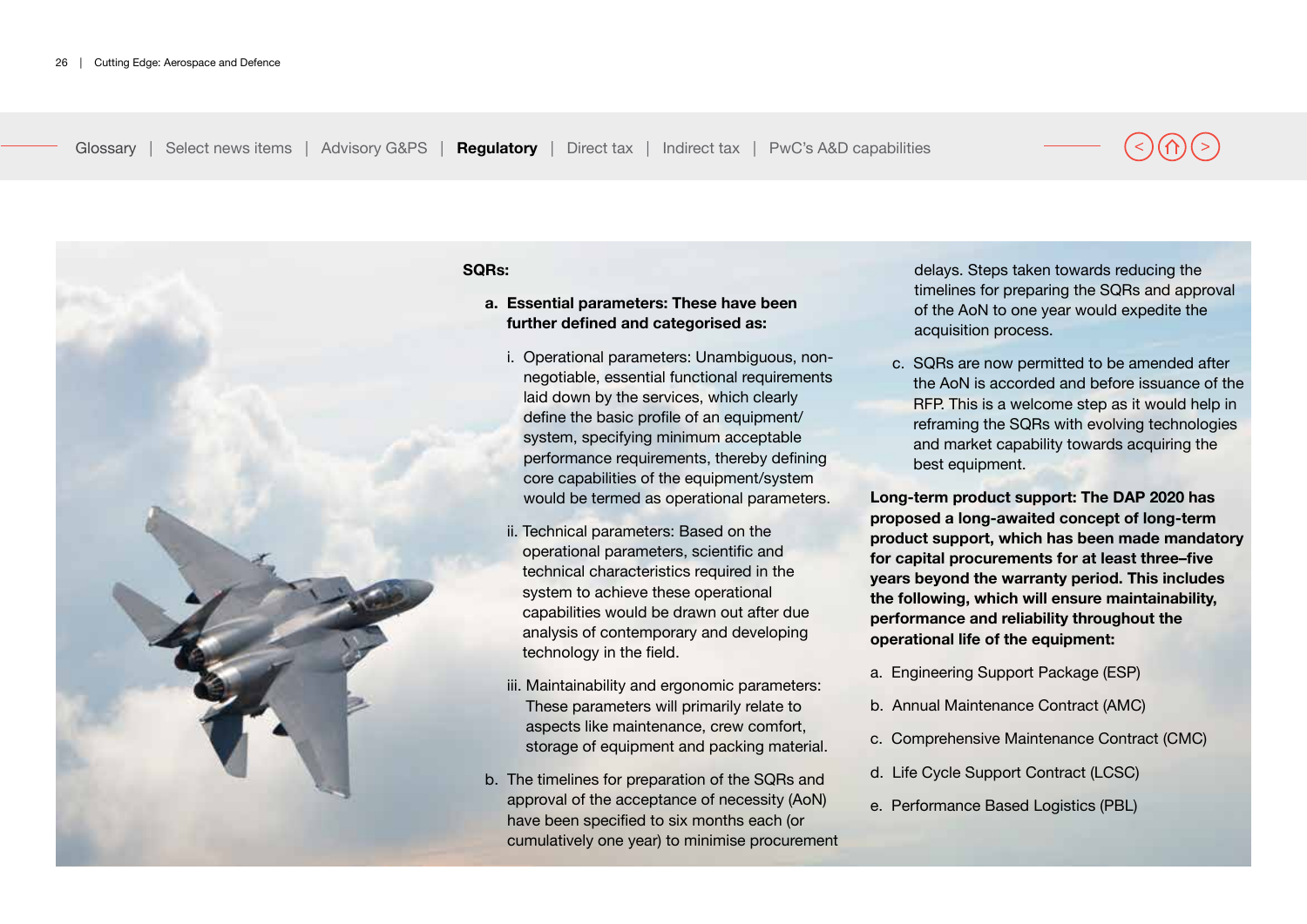

#### **SQRs:**

#### **a. Essential parameters: These have been further defined and categorised as:**

- i. Operational parameters: Unambiguous, nonnegotiable, essential functional requirements laid down by the services, which clearly define the basic profile of an equipment/ system, specifying minimum acceptable performance requirements, thereby defining core capabilities of the equipment/system would be termed as operational parameters.
- ii. Technical parameters: Based on the operational parameters, scientific and technical characteristics required in the system to achieve these operational capabilities would be drawn out after due analysis of contemporary and developing technology in the field.
- iii. Maintainability and ergonomic parameters: These parameters will primarily relate to aspects like maintenance, crew comfort, storage of equipment and packing material.
- b. The timelines for preparation of the SQRs and approval of the acceptance of necessity (AoN) have been specified to six months each (or cumulatively one year) to minimise procurement

delays. Steps taken towards reducing the timelines for preparing the SQRs and approval of the AoN to one year would expedite the acquisition process.

c. SQRs are now permitted to be amended after the AoN is accorded and before issuance of the RFP. This is a welcome step as it would help in reframing the SQRs with evolving technologies and market capability towards acquiring the best equipment.

**Long-term product support: The DAP 2020 has proposed a long-awaited concept of long-term product support, which has been made mandatory for capital procurements for at least three–five years beyond the warranty period. This includes the following, which will ensure maintainability, performance and reliability throughout the operational life of the equipment:**

- a. Engineering Support Package (ESP)
- b. Annual Maintenance Contract (AMC)
- c. Comprehensive Maintenance Contract (CMC)
- d. Life Cycle Support Contract (LCSC)
- e. Performance Based Logistics (PBL)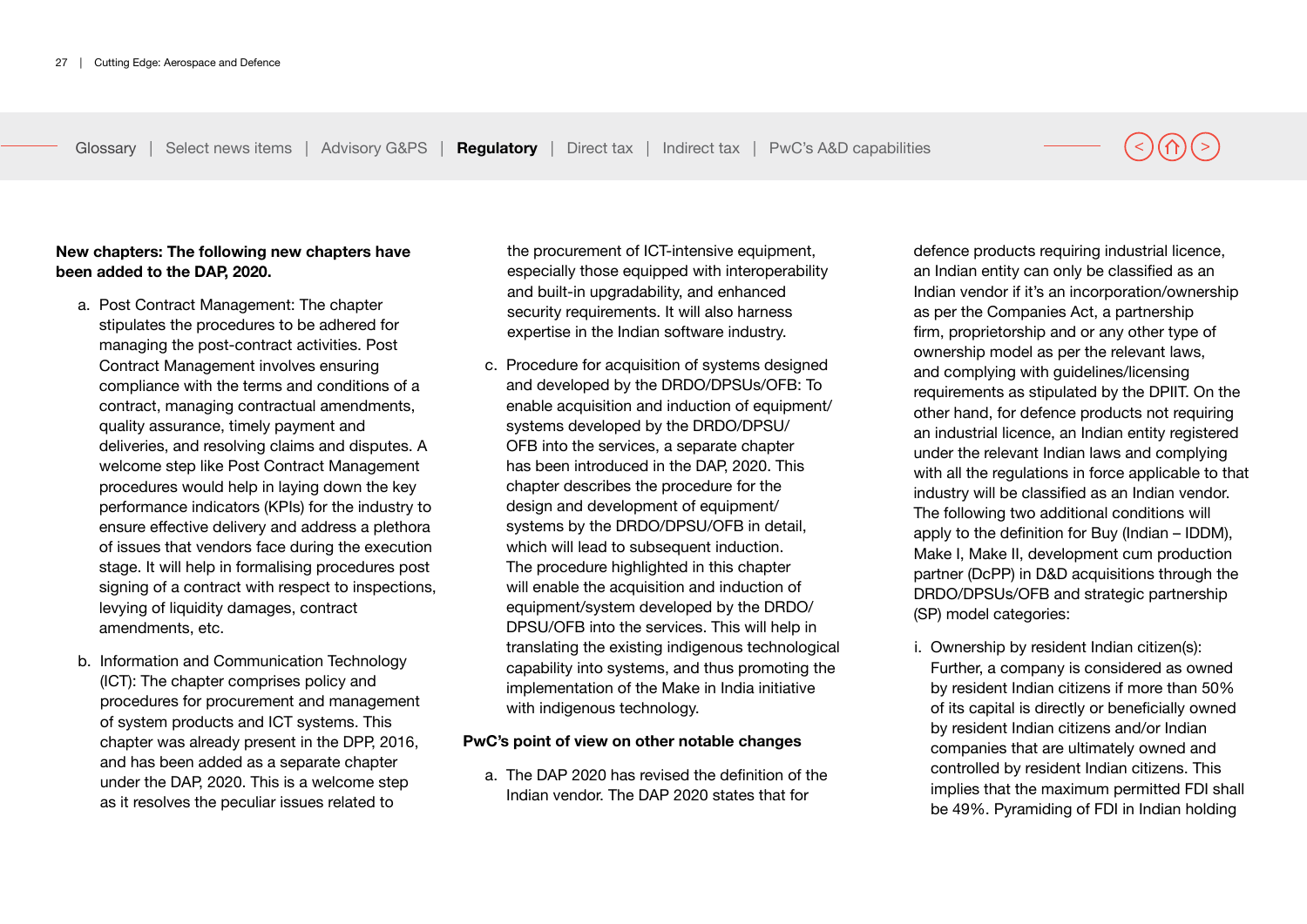#### **New chapters: The following new chapters have been added to the DAP, 2020.**

- a. Post Contract Management: The chapter stipulates the procedures to be adhered for managing the post-contract activities. Post Contract Management involves ensuring compliance with the terms and conditions of a contract, managing contractual amendments, quality assurance, timely payment and deliveries, and resolving claims and disputes. A welcome step like Post Contract Management procedures would help in laying down the key performance indicators (KPIs) for the industry to ensure effective delivery and address a plethora of issues that vendors face during the execution stage. It will help in formalising procedures post signing of a contract with respect to inspections, levying of liquidity damages, contract amendments, etc.
- b. Information and Communication Technology (ICT): The chapter comprises policy and procedures for procurement and management of system products and ICT systems. This chapter was already present in the DPP, 2016, and has been added as a separate chapter under the DAP, 2020. This is a welcome step as it resolves the peculiar issues related to

the procurement of ICT-intensive equipment, especially those equipped with interoperability and built-in upgradability, and enhanced security requirements. It will also harness expertise in the Indian software industry.

c. Procedure for acquisition of systems designed and developed by the DRDO/DPSUs/OFB: To enable acquisition and induction of equipment/ systems developed by the DRDO/DPSU/ OFB into the services, a separate chapter has been introduced in the DAP, 2020. This chapter describes the procedure for the design and development of equipment/ systems by the DRDO/DPSU/OFB in detail, which will lead to subsequent induction. The procedure highlighted in this chapter will enable the acquisition and induction of equipment/system developed by the DRDO/ DPSU/OFB into the services. This will help in translating the existing indigenous technological capability into systems, and thus promoting the implementation of the Make in India initiative with indigenous technology.

#### **PwC's point of view on other notable changes**

a. The DAP 2020 has revised the definition of the Indian vendor. The DAP 2020 states that for

defence products requiring industrial licence, an Indian entity can only be classified as an Indian vendor if it's an incorporation/ownership as per the Companies Act, a partnership firm, proprietorship and or any other type of ownership model as per the relevant laws, and complying with guidelines/licensing requirements as stipulated by the DPIIT. On the other hand, for defence products not requiring an industrial licence, an Indian entity registered under the relevant Indian laws and complying with all the regulations in force applicable to that industry will be classified as an Indian vendor. The following two additional conditions will apply to the definition for Buy (Indian – IDDM), Make I, Make II, development cum production partner (DcPP) in D&D acquisitions through the DRDO/DPSUs/OFB and strategic partnership (SP) model categories:

i. Ownership by resident Indian citizen(s): Further, a company is considered as owned by resident Indian citizens if more than 50% of its capital is directly or beneficially owned by resident Indian citizens and/or Indian companies that are ultimately owned and controlled by resident Indian citizens. This implies that the maximum permitted FDI shall be 49%. Pyramiding of FDI in Indian holding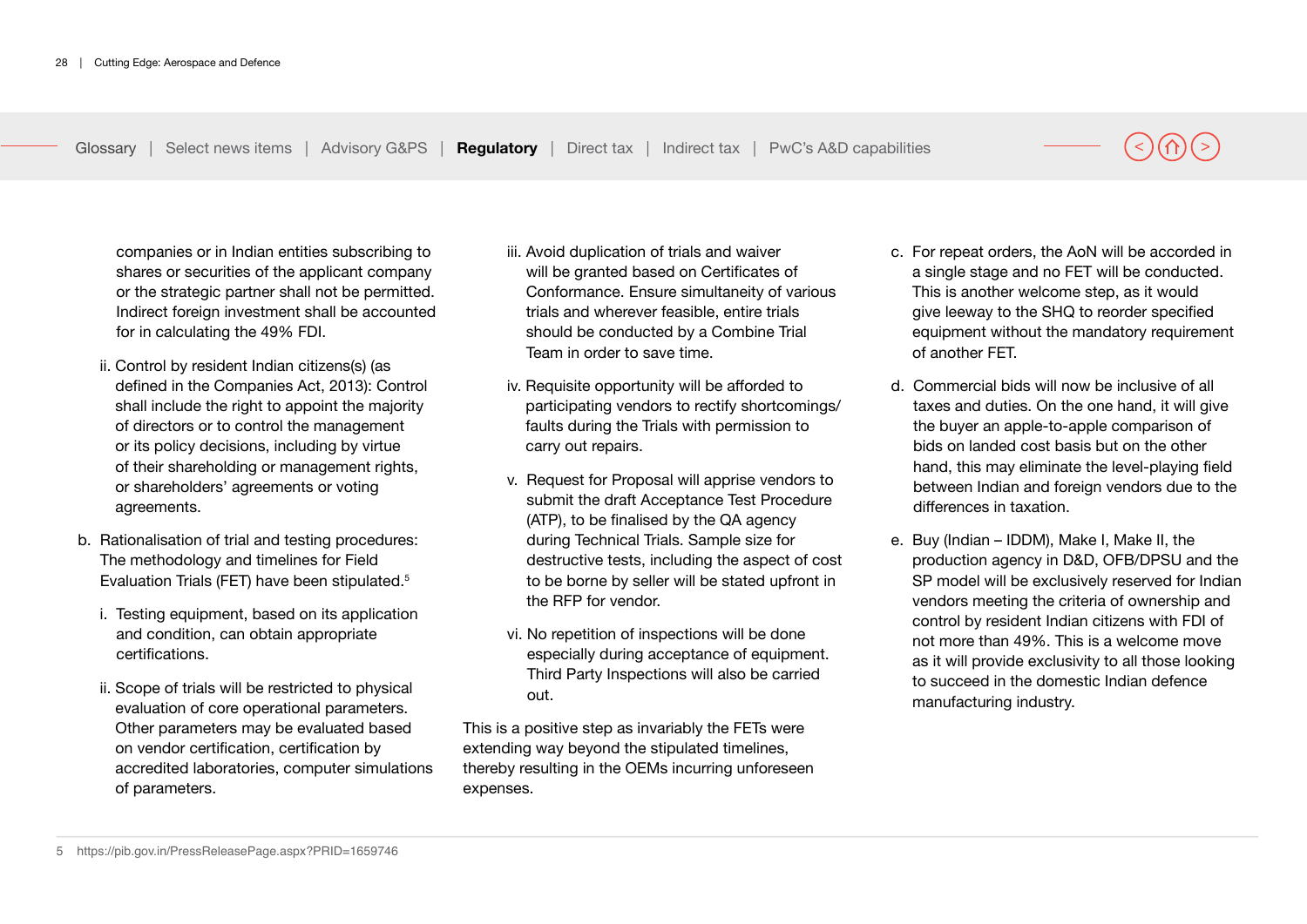companies or in Indian entities subscribing to shares or securities of the applicant company or the strategic partner shall not be permitted. Indirect foreign investment shall be accounted for in calculating the 49% FDI.

- ii. Control by resident Indian citizens(s) (as defined in the Companies Act, 2013): Control shall include the right to appoint the majority of directors or to control the management or its policy decisions, including by virtue of their shareholding or management rights, or shareholders' agreements or voting agreements.
- b. Rationalisation of trial and testing procedures: The methodology and timelines for Field Evaluation Trials (FET) have been stipulated.5
	- i. Testing equipment, based on its application and condition, can obtain appropriate certifications.
	- ii. Scope of trials will be restricted to physical evaluation of core operational parameters. Other parameters may be evaluated based on vendor certification, certification by accredited laboratories, computer simulations of parameters.
- iii. Avoid duplication of trials and waiver will be granted based on Certificates of Conformance. Ensure simultaneity of various trials and wherever feasible, entire trials should be conducted by a Combine Trial Team in order to save time.
- iv. Requisite opportunity will be afforded to participating vendors to rectify shortcomings/ faults during the Trials with permission to carry out repairs.
- v. Request for Proposal will apprise vendors to submit the draft Acceptance Test Procedure (ATP), to be finalised by the QA agency during Technical Trials. Sample size for destructive tests, including the aspect of cost to be borne by seller will be stated upfront in the RFP for vendor.
- vi. No repetition of inspections will be done especially during acceptance of equipment. Third Party Inspections will also be carried out.

This is a positive step as invariably the FETs were extending way beyond the stipulated timelines, thereby resulting in the OEMs incurring unforeseen expenses.

- c. For repeat orders, the AoN will be accorded in a single stage and no FET will be conducted. This is another welcome step, as it would give leeway to the SHQ to reorder specified equipment without the mandatory requirement of another FET.
- d. Commercial bids will now be inclusive of all taxes and duties. On the one hand, it will give the buyer an apple-to-apple comparison of bids on landed cost basis but on the other hand, this may eliminate the level-playing field between Indian and foreign vendors due to the differences in taxation.
- e. Buy (Indian IDDM), Make I, Make II, the production agency in D&D, OFB/DPSU and the SP model will be exclusively reserved for Indian vendors meeting the criteria of ownership and control by resident Indian citizens with FDI of not more than 49%. This is a welcome move as it will provide exclusivity to all those looking to succeed in the domestic Indian defence manufacturing industry.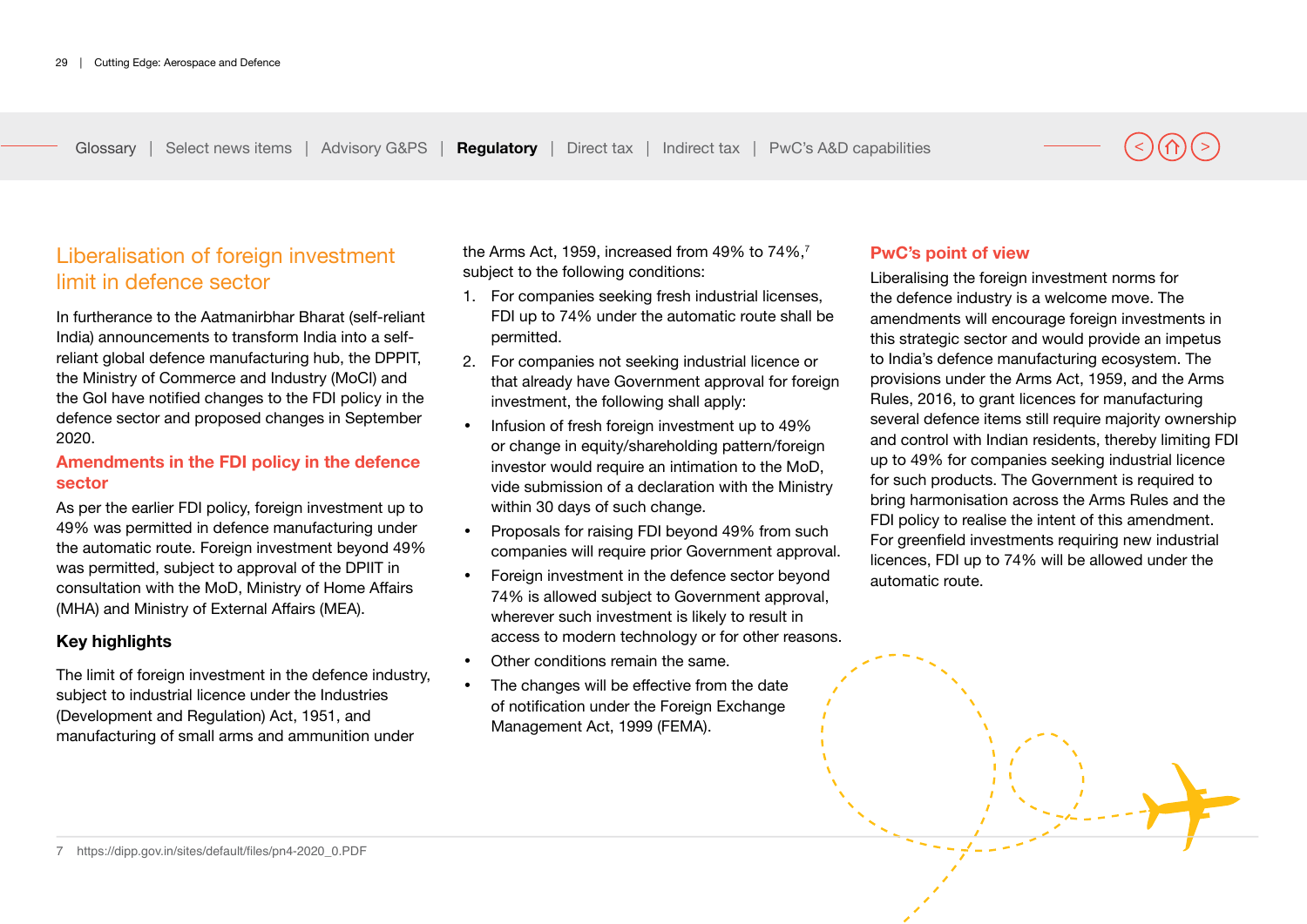# Liberalisation of foreign investment limit in defence sector

In furtherance to the Aatmanirbhar Bharat (self-reliant India) announcements to transform India into a selfreliant global defence manufacturing hub, the DPPIT, the Ministry of Commerce and Industry (MoCI) and the GoI have notified changes to the FDI policy in the defence sector and proposed changes in September 2020.

#### **Amendments in the FDI policy in the defence sector**

As per the earlier FDI policy, foreign investment up to 49% was permitted in defence manufacturing under the automatic route. Foreign investment beyond 49% was permitted, subject to approval of the DPIIT in consultation with the MoD, Ministry of Home Affairs (MHA) and Ministry of External Affairs (MEA).

### **Key highlights**

The limit of foreign investment in the defence industry, subject to industrial licence under the Industries (Development and Regulation) Act, 1951, and manufacturing of small arms and ammunition under

the Arms Act, 1959, increased from 49% to 74%,<sup>7</sup> subject to the following conditions:

- 1. For companies seeking fresh industrial licenses, FDI up to 74% under the automatic route shall be permitted.
- 2. For companies not seeking industrial licence or that already have Government approval for foreign investment, the following shall apply:
- Infusion of fresh foreign investment up to 49% or change in equity/shareholding pattern/foreign investor would require an intimation to the MoD, vide submission of a declaration with the Ministry within 30 days of such change.
- Proposals for raising FDI beyond 49% from such companies will require prior Government approval.
- Foreign investment in the defence sector beyond 74% is allowed subject to Government approval, wherever such investment is likely to result in access to modern technology or for other reasons.
- Other conditions remain the same.
- The changes will be effective from the date of notification under the Foreign Exchange Management Act, 1999 (FEMA).

### **PwC's point of view**

Liberalising the foreign investment norms for the defence industry is a welcome move. The amendments will encourage foreign investments in this strategic sector and would provide an impetus to India's defence manufacturing ecosystem. The provisions under the Arms Act, 1959, and the Arms Rules, 2016, to grant licences for manufacturing several defence items still require majority ownership and control with Indian residents, thereby limiting FDI up to 49% for companies seeking industrial licence for such products. The Government is required to bring harmonisation across the Arms Rules and the FDI policy to realise the intent of this amendment. For greenfield investments requiring new industrial licences, FDI up to 74% will be allowed under the automatic route.

7 https://dipp.gov.in/sites/default/files/pn4-2020\_0.PDF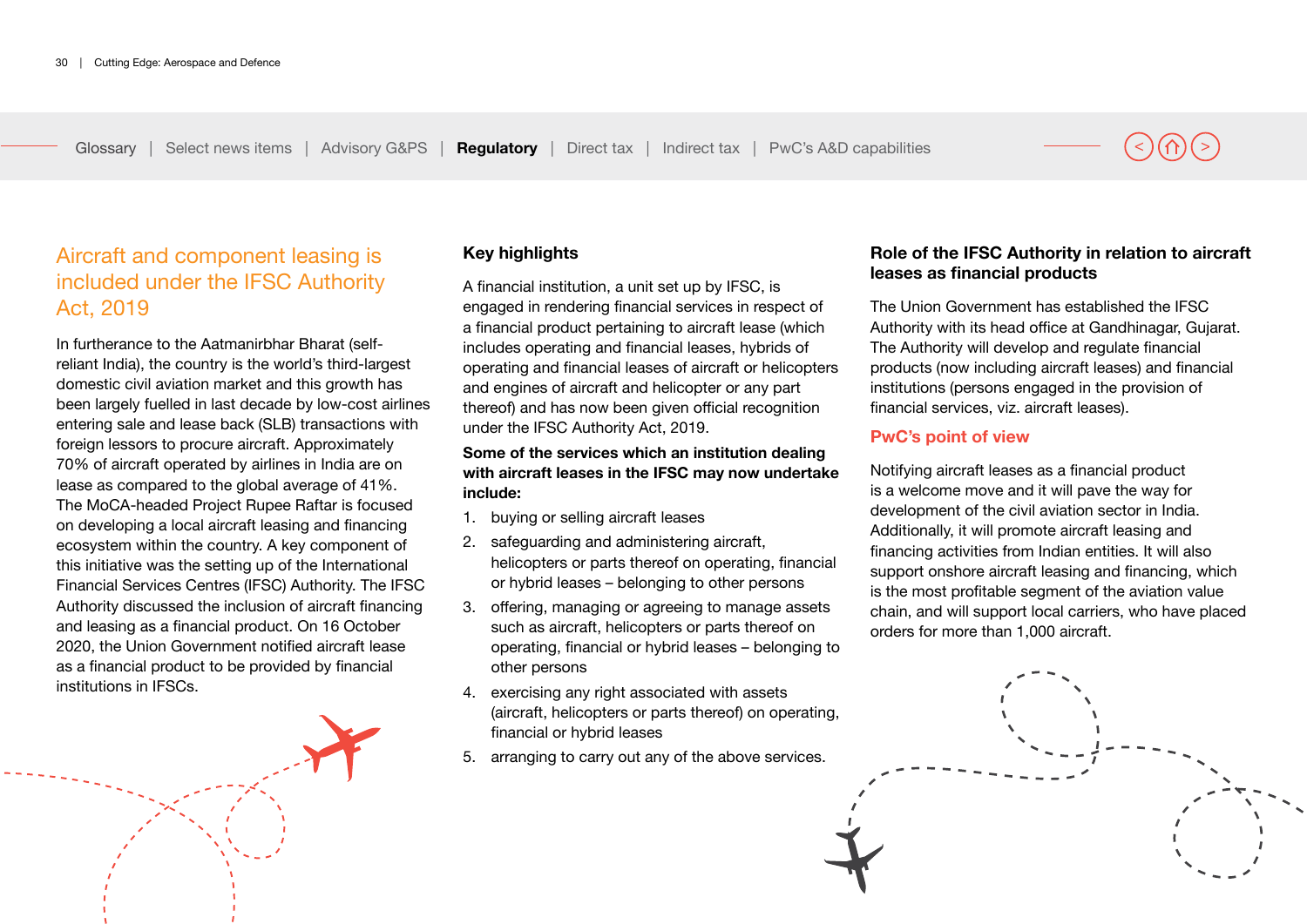# Aircraft and component leasing is included under the IFSC Authority Act, 2019

In furtherance to the Aatmanirbhar Bharat (selfreliant India), the country is the world's third-largest domestic civil aviation market and this growth has been largely fuelled in last decade by low-cost airlines entering sale and lease back (SLB) transactions with foreign lessors to procure aircraft. Approximately 70% of aircraft operated by airlines in India are on lease as compared to the global average of 41%. The MoCA-headed Project Rupee Raftar is focused on developing a local aircraft leasing and financing ecosystem within the country. A key component of this initiative was the setting up of the International Financial Services Centres (IFSC) Authority. The IFSC Authority discussed the inclusion of aircraft financing and leasing as a financial product. On 16 October 2020, the Union Government notified aircraft lease as a financial product to be provided by financial institutions in IFSCs.



### **Key highlights**

A financial institution, a unit set up by IFSC, is engaged in rendering financial services in respect of a financial product pertaining to aircraft lease (which includes operating and financial leases, hybrids of operating and financial leases of aircraft or helicopters and engines of aircraft and helicopter or any part thereof) and has now been given official recognition under the IFSC Authority Act, 2019.

#### **Some of the services which an institution dealing with aircraft leases in the IFSC may now undertake include:**

- 1. buying or selling aircraft leases
- 2. safeguarding and administering aircraft, helicopters or parts thereof on operating, financial or hybrid leases – belonging to other persons
- 3. offering, managing or agreeing to manage assets such as aircraft, helicopters or parts thereof on operating, financial or hybrid leases – belonging to other persons
- 4. exercising any right associated with assets (aircraft, helicopters or parts thereof) on operating, financial or hybrid leases
- 5. arranging to carry out any of the above services.

### **Role of the IFSC Authority in relation to aircraft leases as financial products**

The Union Government has established the IFSC Authority with its head office at Gandhinagar, Gujarat. The Authority will develop and regulate financial products (now including aircraft leases) and financial institutions (persons engaged in the provision of financial services, viz. aircraft leases).

#### **PwC's point of view**

Notifying aircraft leases as a financial product is a welcome move and it will pave the way for development of the civil aviation sector in India. Additionally, it will promote aircraft leasing and financing activities from Indian entities. It will also support onshore aircraft leasing and financing, which is the most profitable segment of the aviation value chain, and will support local carriers, who have placed orders for more than 1,000 aircraft.

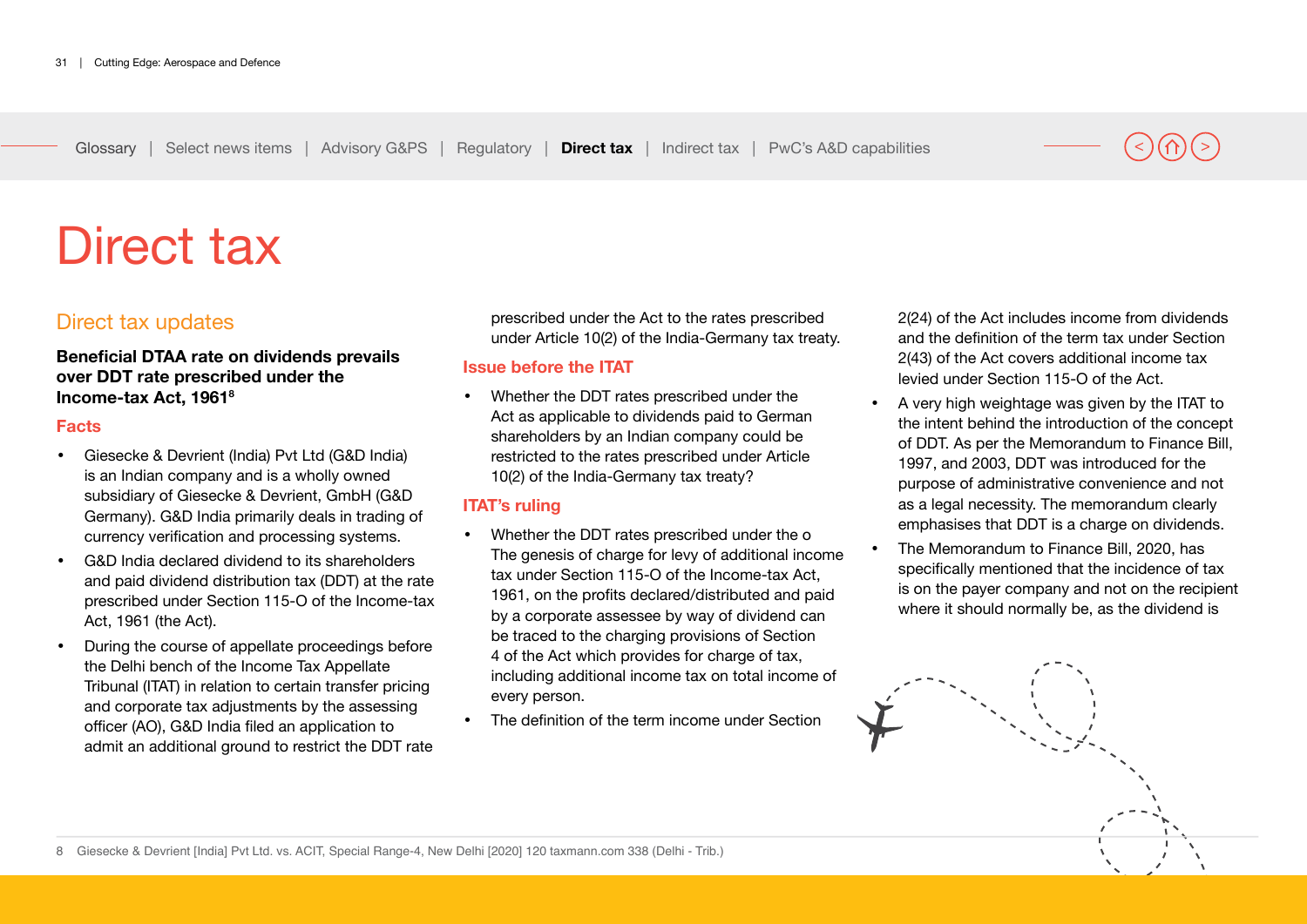# <span id="page-30-0"></span>Direct tax

# Direct tax updates

### **Beneficial DTAA rate on dividends prevails over DDT rate prescribed under the Income-tax Act, 19618**

#### **Facts**

- Giesecke & Devrient (India) Pvt Ltd (G&D India) is an Indian company and is a wholly owned subsidiary of Giesecke & Devrient, GmbH (G&D Germany). G&D India primarily deals in trading of currency verification and processing systems.
- G&D India declared dividend to its shareholders and paid dividend distribution tax (DDT) at the rate prescribed under Section 115-O of the Income-tax Act, 1961 (the Act).
- During the course of appellate proceedings before the Delhi bench of the Income Tax Appellate Tribunal (ITAT) in relation to certain transfer pricing and corporate tax adjustments by the assessing officer (AO), G&D India filed an application to admit an additional ground to restrict the DDT rate

prescribed under the Act to the rates prescribed under Article 10(2) of the India-Germany tax treaty.

### **Issue before the ITAT**

• Whether the DDT rates prescribed under the Act as applicable to dividends paid to German shareholders by an Indian company could be restricted to the rates prescribed under Article 10(2) of the India-Germany tax treaty?

### **ITAT's ruling**

- Whether the DDT rates prescribed under the o The genesis of charge for levy of additional income tax under Section 115-O of the Income-tax Act, 1961, on the profits declared/distributed and paid by a corporate assessee by way of dividend can be traced to the charging provisions of Section 4 of the Act which provides for charge of tax, including additional income tax on total income of every person.
- The definition of the term income under Section

2(24) of the Act includes income from dividends and the definition of the term tax under Section 2(43) of the Act covers additional income tax levied under Section 115-O of the Act.

- A very high weightage was given by the ITAT to the intent behind the introduction of the concept of DDT. As per the Memorandum to Finance Bill, 1997, and 2003, DDT was introduced for the purpose of administrative convenience and not as a legal necessity. The memorandum clearly emphasises that DDT is a charge on dividends.
- The Memorandum to Finance Bill, 2020, has specifically mentioned that the incidence of tax is on the payer company and not on the recipient where it should normally be, as the dividend is

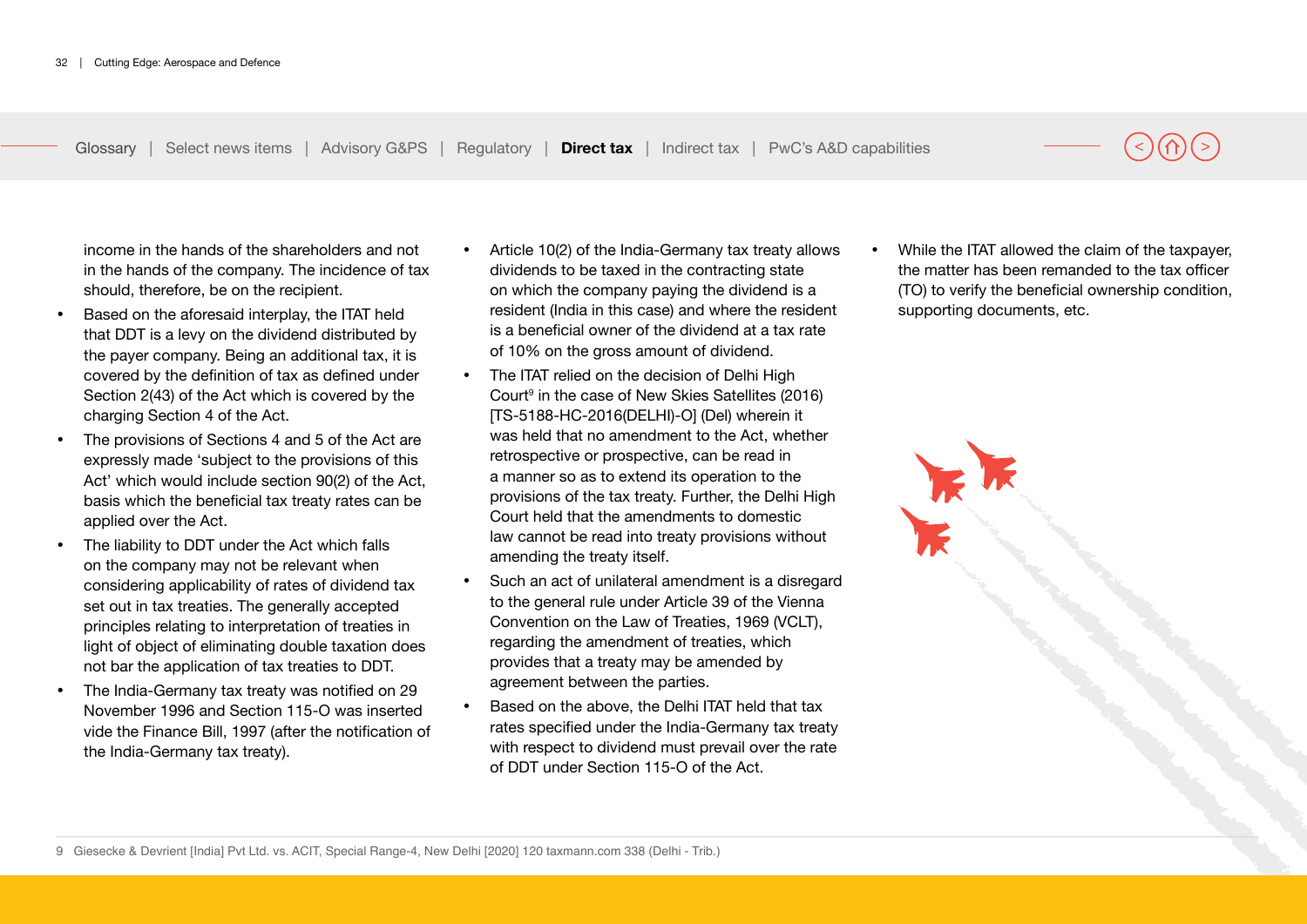income in the hands of the shareholders and not in the hands of the company. The incidence of tax should, therefore, be on the recipient.

- Based on the aforesaid interplay, the ITAT held that DDT is a levy on the dividend distributed by the payer company. Being an additional tax, it is covered by the definition of tax as defined under Section 2(43) of the Act which is covered by the charging Section 4 of the Act.
- The provisions of Sections 4 and 5 of the Act are expressly made 'subject to the provisions of this Act' which would include section 90(2) of the Act, basis which the beneficial tax treaty rates can be applied over the Act.
- The liability to DDT under the Act which falls on the company may not be relevant when considering applicability of rates of dividend tax set out in tax treaties. The generally accepted principles relating to interpretation of treaties in light of object of eliminating double taxation does not bar the application of tax treaties to DDT.
- The India-Germany tax treaty was notified on 29 November 1996 and Section 115-O was inserted vide the Finance Bill, 1997 (after the notification of the India-Germany tax treaty).
- Article 10(2) of the India-Germany tax treaty allows dividends to be taxed in the contracting state on which the company paying the dividend is a resident (India in this case) and where the resident is a beneficial owner of the dividend at a tax rate of 10% on the gross amount of dividend.
- The ITAT relied on the decision of Delhi High Court<sup>9</sup> in the case of New Skies Satellites (2016) [TS-5188-HC-2016(DELHI)-O] (Del) wherein it was held that no amendment to the Act, whether retrospective or prospective, can be read in a manner so as to extend its operation to the provisions of the tax treaty. Further, the Delhi High Court held that the amendments to domestic law cannot be read into treaty provisions without amending the treaty itself.
- Such an act of unilateral amendment is a disregard to the general rule under Article 39 of the Vienna Convention on the Law of Treaties, 1969 (VCLT), regarding the amendment of treaties, which provides that a treaty may be amended by agreement between the parties.
- Based on the above, the Delhi ITAT held that tax rates specified under the India-Germany tax treaty with respect to dividend must prevail over the rate of DDT under Section 115-O of the Act.

• While the ITAT allowed the claim of the taxpayer, the matter has been remanded to the tax officer (TO) to verify the beneficial ownership condition, supporting documents, etc.



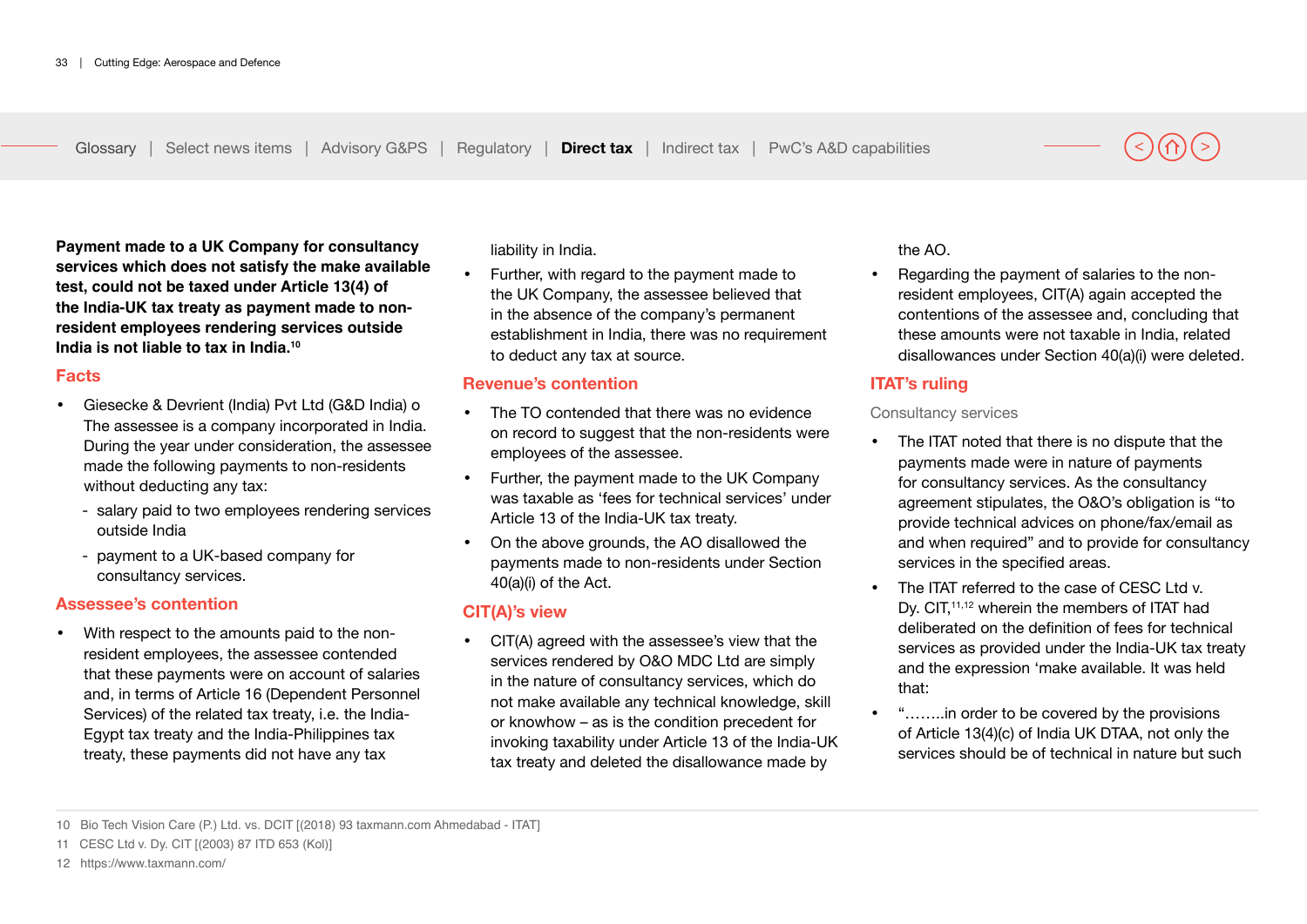**Payment made to a UK Company for consultancy services which does not satisfy the make available test, could not be taxed under Article 13(4) of the India-UK tax treaty as payment made to nonresident employees rendering services outside India is not liable to tax in India.10**

#### **Facts**

- Giesecke & Devrient (India) Pvt Ltd (G&D India) o The assessee is a company incorporated in India. During the year under consideration, the assessee made the following payments to non-residents without deducting any tax:
	- salary paid to two employees rendering services outside India
	- payment to a UK-based company for consultancy services.

### **Assessee's contention**

• With respect to the amounts paid to the nonresident employees, the assessee contended that these payments were on account of salaries and, in terms of Article 16 (Dependent Personnel Services) of the related tax treaty, i.e. the India-Egypt tax treaty and the India-Philippines tax treaty, these payments did not have any tax

liability in India.

• Further, with regard to the payment made to the UK Company, the assessee believed that in the absence of the company's permanent establishment in India, there was no requirement to deduct any tax at source.

#### **Revenue's contention**

- The TO contended that there was no evidence on record to suggest that the non-residents were employees of the assessee.
- Further, the payment made to the UK Company was taxable as 'fees for technical services' under Article 13 of the India-UK tax treaty.
- On the above grounds, the AO disallowed the payments made to non-residents under Section 40(a)(i) of the Act.

### **CIT(A)'s view**

• CIT(A) agreed with the assessee's view that the services rendered by O&O MDC Ltd are simply in the nature of consultancy services, which do not make available any technical knowledge, skill or knowhow – as is the condition precedent for invoking taxability under Article 13 of the India-UK tax treaty and deleted the disallowance made by

the AO.

• Regarding the payment of salaries to the nonresident employees, CIT(A) again accepted the contentions of the assessee and, concluding that these amounts were not taxable in India, related disallowances under Section 40(a)(i) were deleted.

### **ITAT's ruling**

#### Consultancy services

- The ITAT noted that there is no dispute that the payments made were in nature of payments for consultancy services. As the consultancy agreement stipulates, the O&O's obligation is "to provide technical advices on phone/fax/email as and when required" and to provide for consultancy services in the specified areas.
- The ITAT referred to the case of CESC Ltd v. Dy. CIT,<sup>11,12</sup> wherein the members of ITAT had deliberated on the definition of fees for technical services as provided under the India-UK tax treaty and the expression 'make available. It was held that:
- "……..in order to be covered by the provisions of Article 13(4)(c) of India UK DTAA, not only the services should be of technical in nature but such

<sup>10</sup> Bio Tech Vision Care (P.) Ltd. vs. DCIT [(2018) 93 taxmann.com Ahmedabad - ITAT]

<sup>11</sup> CESC Ltd v. Dy. CIT [(2003) 87 ITD 653 (Kol)]

<sup>12</sup> https://www.taxmann.com/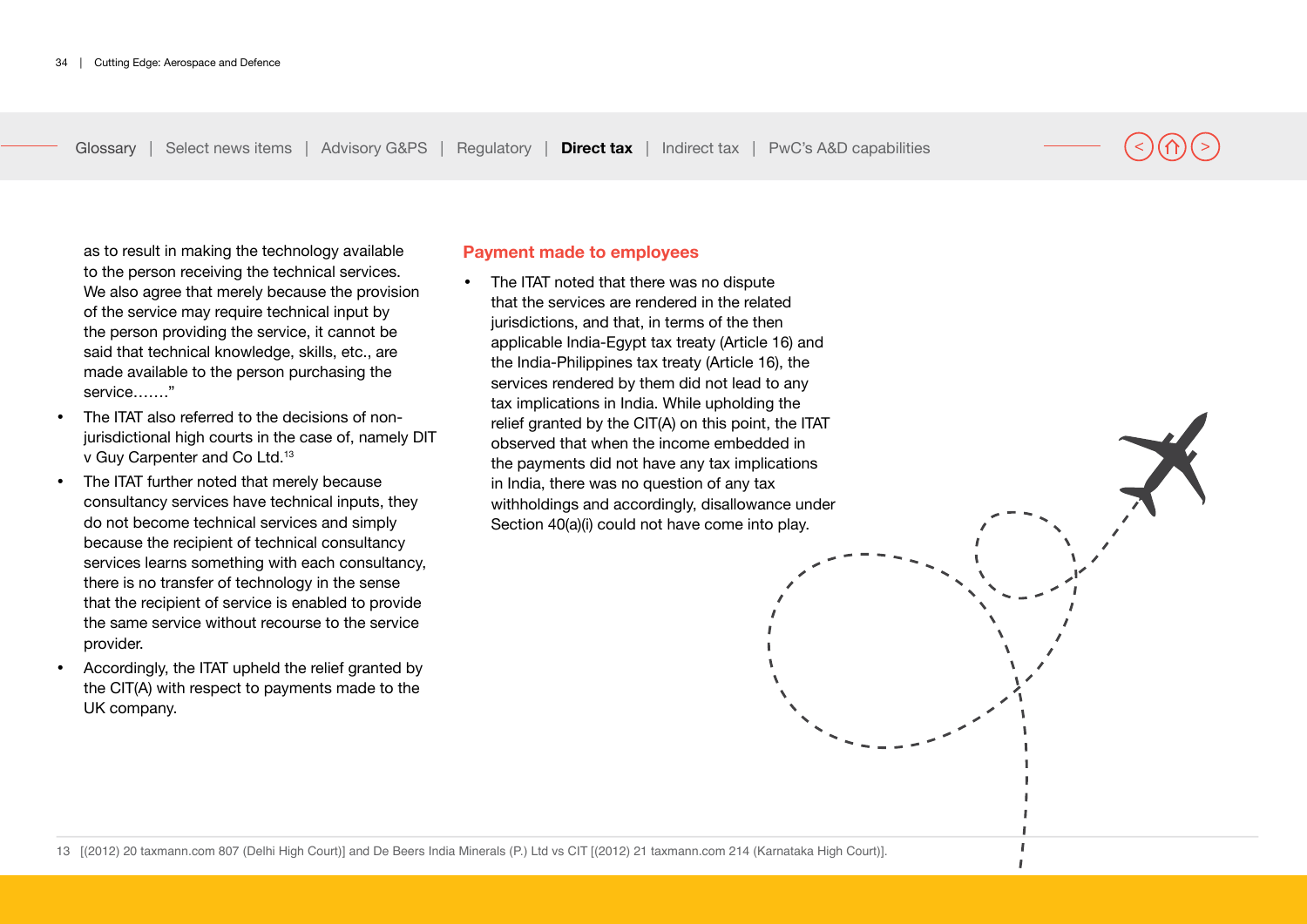as to result in making the technology available to the person receiving the technical services. We also agree that merely because the provision of the service may require technical input by the person providing the service, it cannot be said that technical knowledge, skills, etc., are made available to the person purchasing the service……."

- The ITAT also referred to the decisions of nonjurisdictional high courts in the case of, namely DIT v Guy Carpenter and Co Ltd.13
- The ITAT further noted that merely because consultancy services have technical inputs, they do not become technical services and simply because the recipient of technical consultancy services learns something with each consultancy, there is no transfer of technology in the sense that the recipient of service is enabled to provide the same service without recourse to the service provider.
- Accordingly, the ITAT upheld the relief granted by the CIT(A) with respect to payments made to the UK company.

#### **Payment made to employees**

The ITAT noted that there was no dispute that the services are rendered in the related jurisdictions, and that, in terms of the then applicable India-Egypt tax treaty (Article 16) and the India-Philippines tax treaty (Article 16), the services rendered by them did not lead to any tax implications in India. While upholding the relief granted by the CIT(A) on this point, the ITAT observed that when the income embedded in the payments did not have any tax implications in India, there was no question of any tax withholdings and accordingly, disallowance under Section 40(a)(i) could not have come into play.

> $\mathbf{I}$  $\mathbf{I}$

13 [(2012) 20 taxmann.com 807 (Delhi High Court)] and De Beers India Minerals (P.) Ltd vs CIT [(2012) 21 taxmann.com 214 (Karnataka High Court)].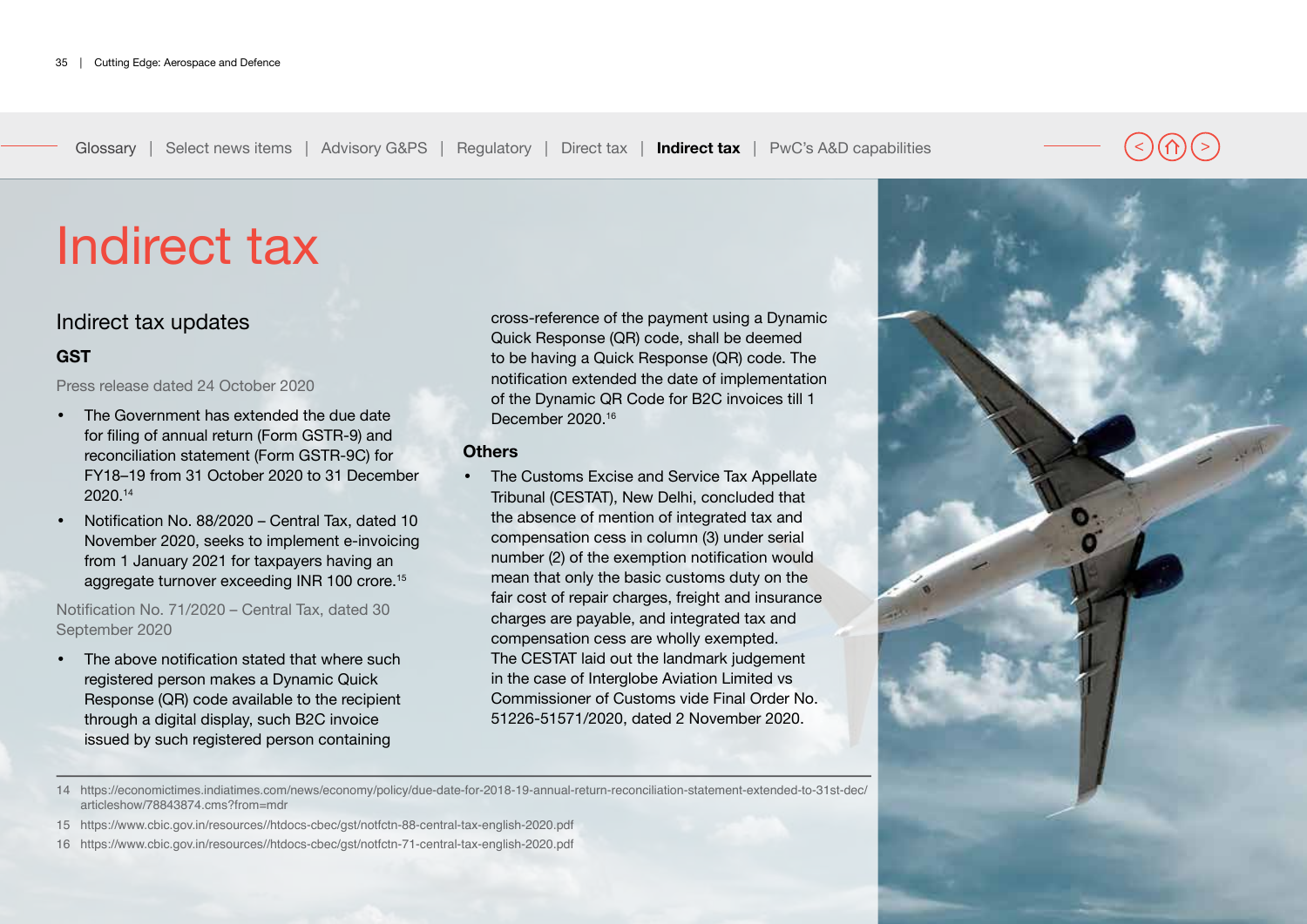<span id="page-34-0"></span>

## Indirect tax updates

### **GST**

Press release dated 24 October 2020

- The Government has extended the due date for filing of annual return (Form GSTR-9) and reconciliation statement (Form GSTR-9C) for FY18–19 from 31 October 2020 to 31 December 2020.14
- Notification No. 88/2020 Central Tax, dated 10 November 2020, seeks to implement e-invoicing from 1 January 2021 for taxpayers having an aggregate turnover exceeding INR 100 crore.15

Notification No. 71/2020 – Central Tax, dated 30 September 2020

• The above notification stated that where such registered person makes a Dynamic Quick Response (QR) code available to the recipient through a digital display, such B2C invoice issued by such registered person containing

cross-reference of the payment using a Dynamic Quick Response (QR) code, shall be deemed to be having a Quick Response (QR) code. The notification extended the date of implementation of the Dynamic QR Code for B2C invoices till 1 December 2020.16

#### **Others**

• The Customs Excise and Service Tax Appellate Tribunal (CESTAT), New Delhi, concluded that the absence of mention of integrated tax and compensation cess in column (3) under serial number (2) of the exemption notification would mean that only the basic customs duty on the fair cost of repair charges, freight and insurance charges are payable, and integrated tax and compensation cess are wholly exempted. The CESTAT laid out the landmark judgement in the case of Interglobe Aviation Limited vs Commissioner of Customs vide Final Order No. 51226-51571/2020, dated 2 November 2020.

14 https://economictimes.indiatimes.com/news/economy/policy/due-date-for-2018-19-annual-return-reconciliation-statement-extended-to-31st-dec/ articleshow/78843874.cms?from=mdr

- 15 https://www.cbic.gov.in/resources//htdocs-cbec/gst/notfctn-88-central-tax-english-2020.pdf
- 16 https://www.cbic.gov.in/resources//htdocs-cbec/gst/notfctn-71-central-tax-english-2020.pdf

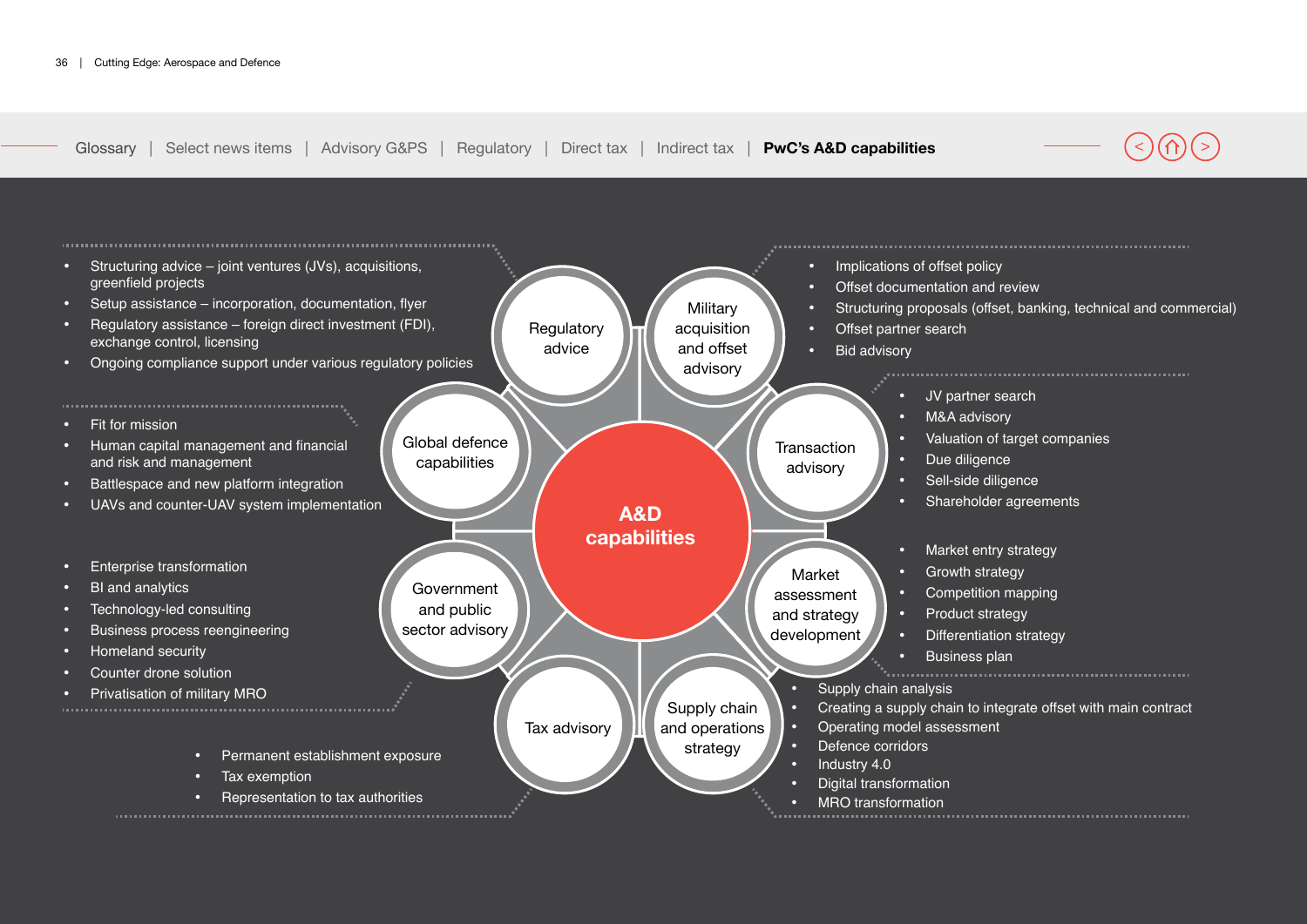<span id="page-35-0"></span>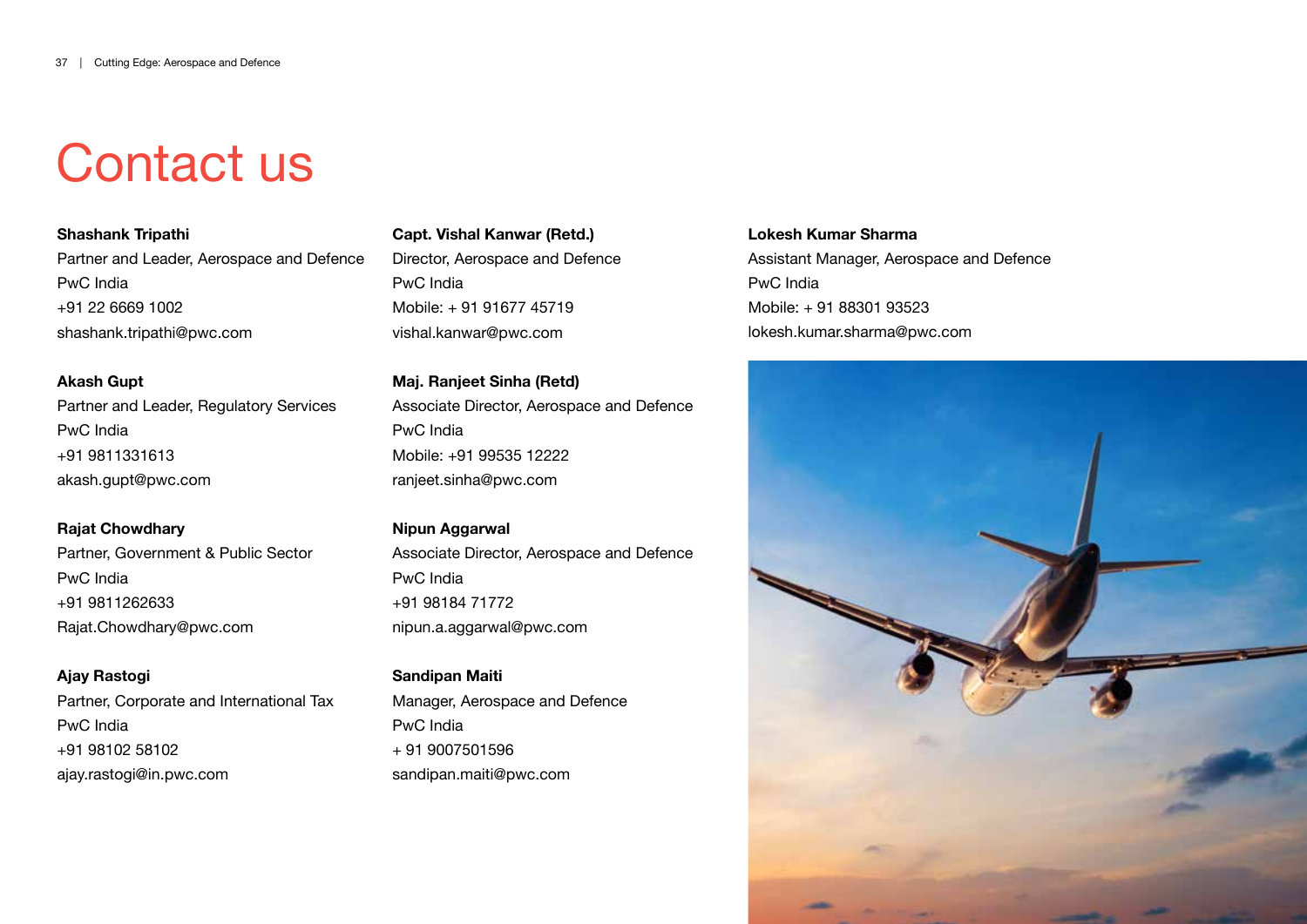# Contact us

**Shashank Tripathi** Partner and Leader, Aerospace and Defence PwC India +91 22 6669 1002 shashank.tripathi@pwc.com

**Akash Gupt** Partner and Leader, Regulatory Services PwC India +91 9811331613 akash.gupt@pwc.com

**Rajat Chowdhary** Partner, Government & Public Sector PwC India +91 9811262633 Rajat.Chowdhary@pwc.com

**Ajay Rastogi** Partner, Corporate and International Tax PwC India +91 98102 58102 ajay.rastogi@in.pwc.com

**Capt. Vishal Kanwar (Retd.)** Director, Aerospace and Defence PwC India Mobile: + 91 91677 45719 vishal.kanwar@pwc.com

**Maj. Ranjeet Sinha (Retd)** Associate Director, Aerospace and Defence PwC India Mobile: +91 99535 12222 ranjeet.sinha@pwc.com

**Nipun Aggarwal**  Associate Director, Aerospace and Defence PwC India +91 98184 71772 nipun.a.aggarwal@pwc.com

**Sandipan Maiti** Manager, Aerospace and Defence PwC India + 91 9007501596 sandipan.maiti@pwc.com

**Lokesh Kumar Sharma** Assistant Manager, Aerospace and Defence PwC India Mobile: + 91 88301 93523 lokesh.kumar.sharma@pwc.com